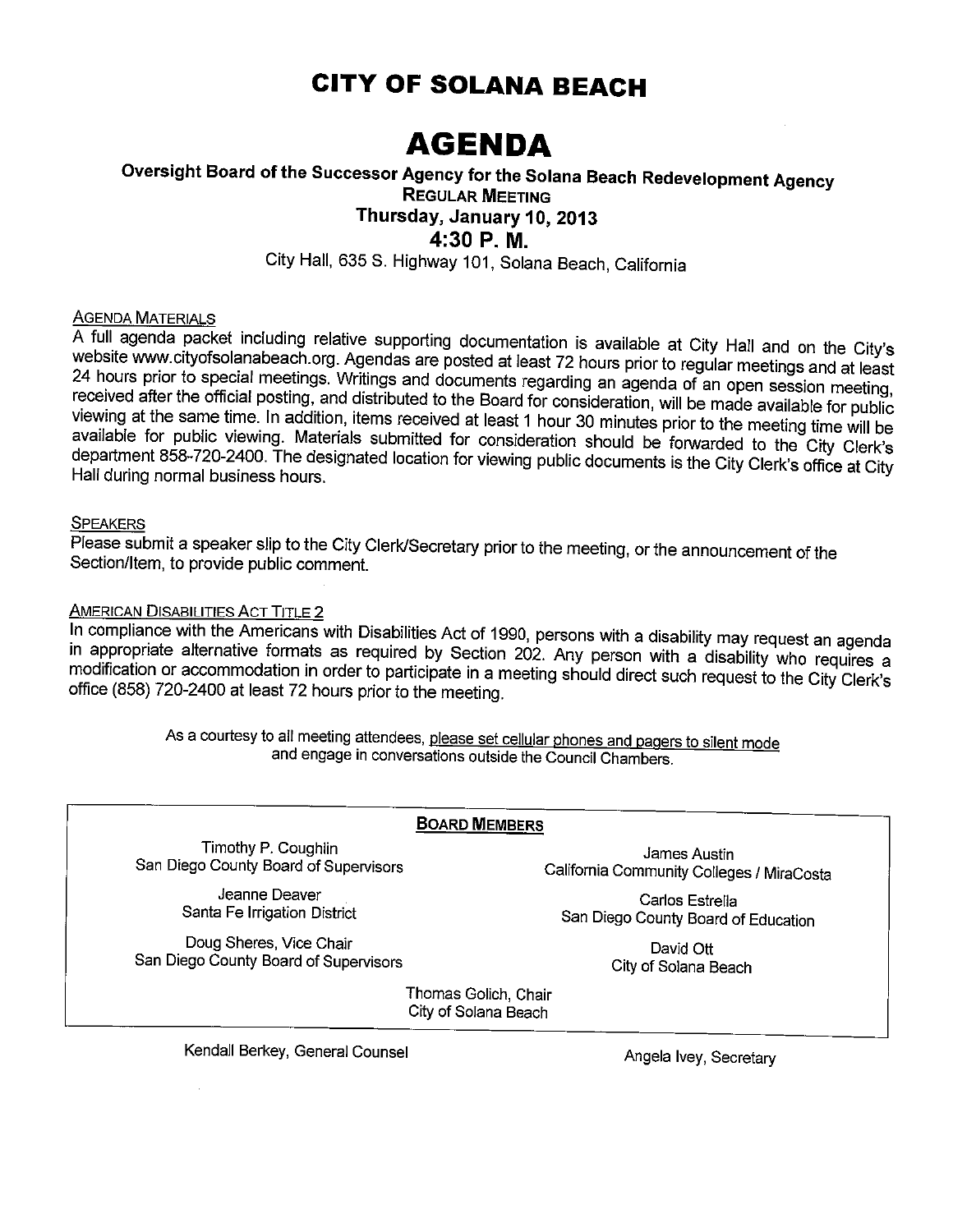# **CITY OF SOLANA BEACH**

# **AGENDA**

### Oversight Board of the Successor Agency for the Solana Beach Redevelopment Agency **REGULAR MEETING** Thursday, January 10, 2013 4:30 P.M.

City Hall, 635 S. Highway 101, Solana Beach, California

#### **AGENDA MATERIALS**

A full agenda packet including relative supporting documentation is available at City Hall and on the City's website www.cityofsolanabeach.org. Agendas are posted at least 72 hours prior to regular meetings and at least 24 hours prior to special meetings. Writings and documents regarding an agenda of an open session meeting, received after the official posting, and distributed to the Board for consideration, will be made available for public viewing at the same time. In addition, items received at least 1 hour 30 minutes prior to the meeting time will be available for public viewing. Materials submitted for consideration should be forwarded to the City Clerk's department 858-720-2400. The designated location for viewing public documents is the City Clerk's office at City Hall during normal business hours.

#### **SPEAKERS**

Please submit a speaker slip to the City Clerk/Secretary prior to the meeting, or the announcement of the Section/Item, to provide public comment.

#### **AMERICAN DISABILITIES ACT TITLE 2**

In compliance with the Americans with Disabilities Act of 1990, persons with a disability may request an agenda in appropriate alternative formats as required by Section 202. Any person with a disability who requires a modification or accommodation in order to participate in a meeting should direct such request to the City Clerk's office (858) 720-2400 at least 72 hours prior to the meeting.

> As a courtesy to all meeting attendees, please set cellular phones and pagers to silent mode and engage in conversations outside the Council Chambers.

#### **BOARD MEMBERS**

Timothy P. Coughlin San Diego County Board of Supervisors

James Austin California Community Colleges / MiraCosta

Jeanne Deaver Santa Fe Irrigation District

Doug Sheres, Vice Chair San Diego County Board of Supervisors

Carlos Estrella San Diego County Board of Education

> David Ott City of Solana Beach

Thomas Golich, Chair City of Solana Beach

Kendall Berkey, General Counsel

Angela Ivey, Secretary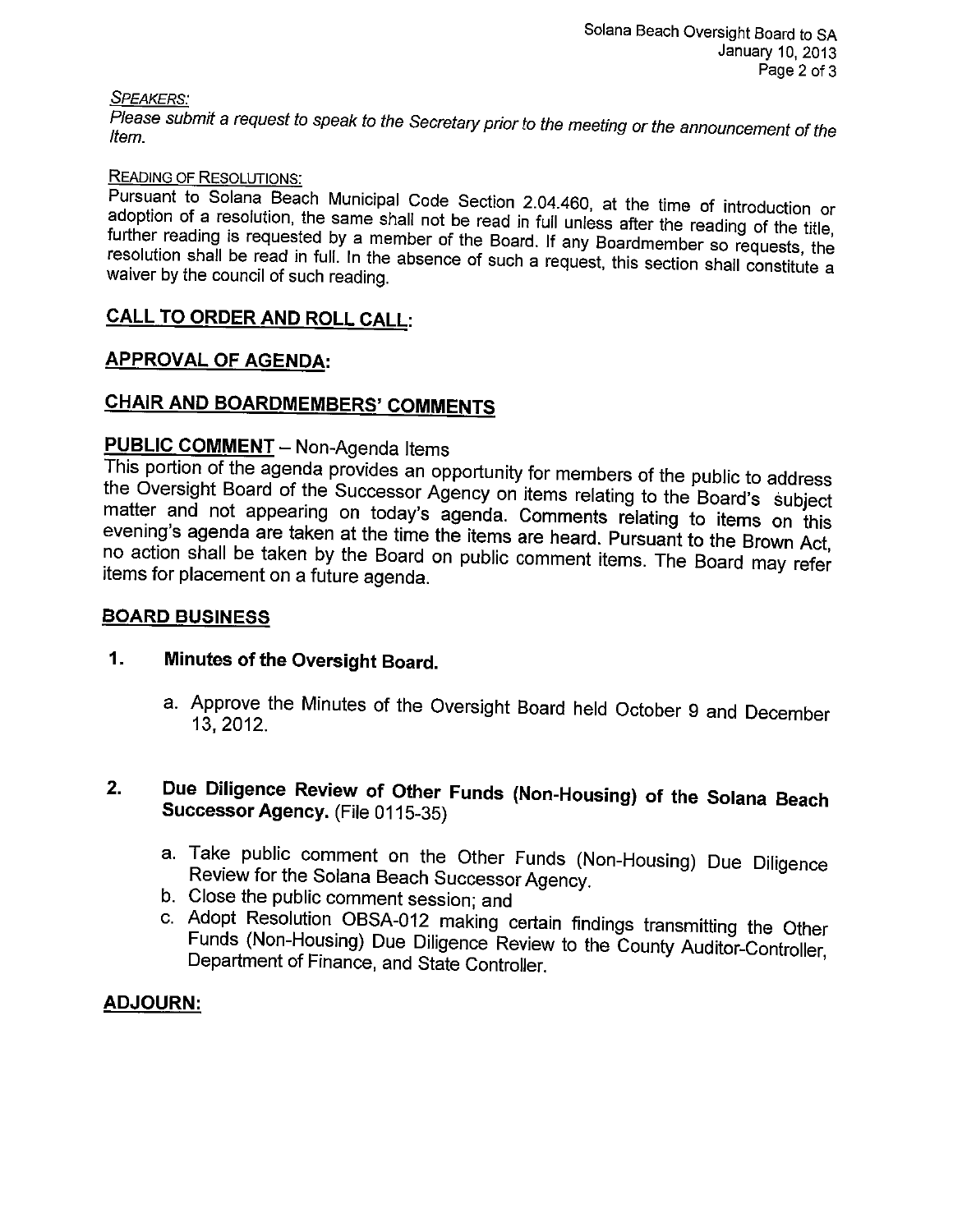#### **SPEAKERS:**

Please submit a request to speak to the Secretary prior to the meeting or the announcement of the ltem.

#### **READING OF RESOLUTIONS:**

Pursuant to Solana Beach Municipal Code Section 2.04.460, at the time of introduction or adoption of a resolution, the same shall not be read in full unless after the reading of the title, further reading is requested by a member of the Board. If any Boardmember so requests, the resolution shall be read in full. In the absence of such a request, this section shall constitute a waiver by the council of such reading.

### CALL TO ORDER AND ROLL CALL:

#### **APPROVAL OF AGENDA:**

# **CHAIR AND BOARDMEMBERS' COMMENTS**

# **PUBLIC COMMENT** - Non-Agenda Items

This portion of the agenda provides an opportunity for members of the public to address the Oversight Board of the Successor Agency on items relating to the Board's subject matter and not appearing on today's agenda. Comments relating to items on this evening's agenda are taken at the time the items are heard. Pursuant to the Brown Act, no action shall be taken by the Board on public comment items. The Board may refer items for placement on a future agenda.

#### **BOARD BUSINESS**

#### $1.$ Minutes of the Oversight Board.

- a. Approve the Minutes of the Oversight Board held October 9 and December 13, 2012.
- Due Diligence Review of Other Funds (Non-Housing) of the Solana Beach  $2.$ Successor Agency. (File 0115-35)
	- a. Take public comment on the Other Funds (Non-Housing) Due Diligence Review for the Solana Beach Successor Agency.
	- b. Close the public comment session; and
	- c. Adopt Resolution OBSA-012 making certain findings transmitting the Other Funds (Non-Housing) Due Diligence Review to the County Auditor-Controller, Department of Finance, and State Controller.

#### **ADJOURN:**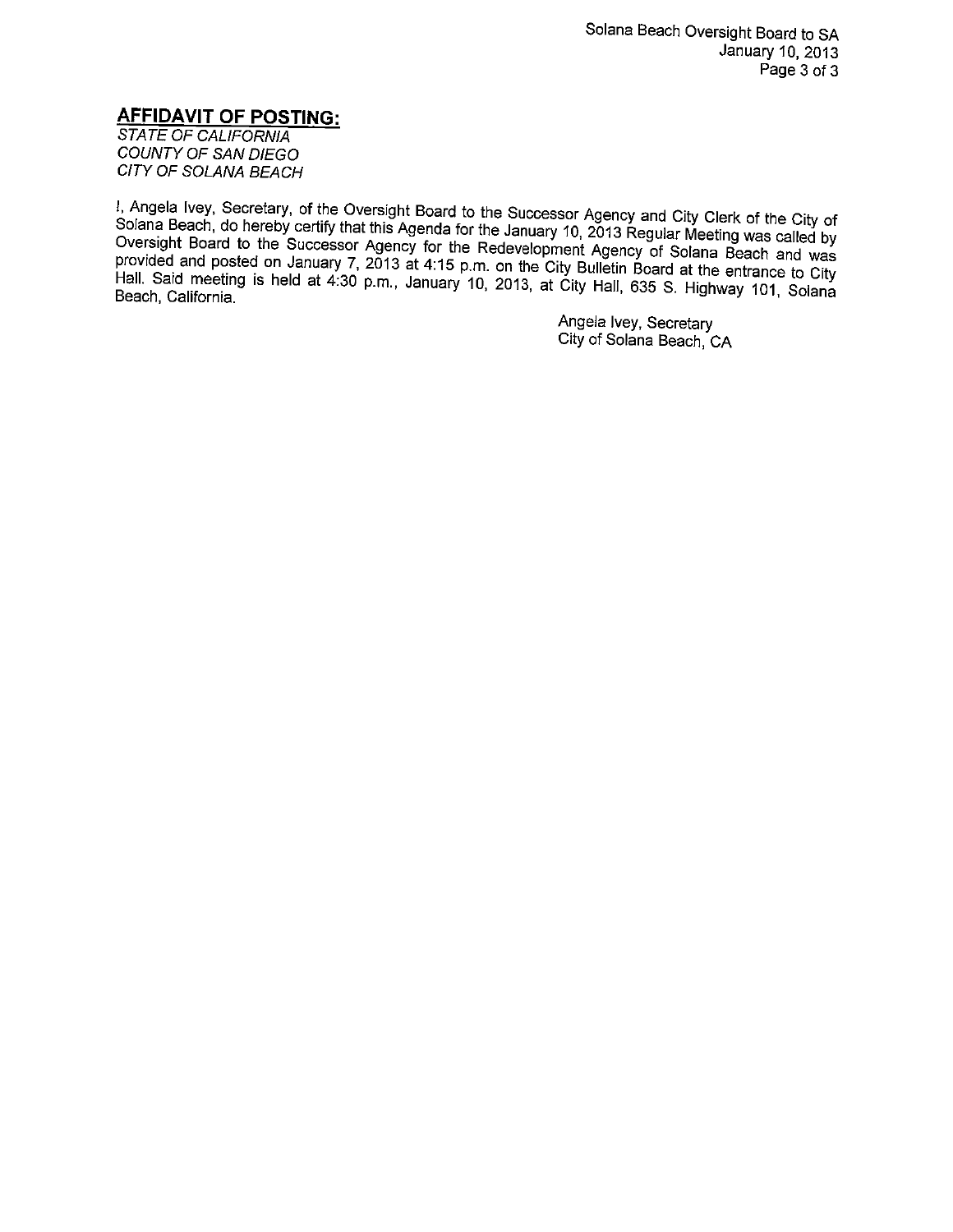#### **AFFIDAVIT OF POSTING:**

**STATE OF CALIFORNIA** COUNTY OF SAN DIEGO CITY OF SOLANA BEACH

I, Angela Ivey, Secretary, of the Oversight Board to the Successor Agency and City Clerk of the City of Solana Beach, do hereby certify that this Agenda for the January 10, 2013 Regular Meeting was called by Oversight Board to the Successor Agency for the Redevelopment Agency of Solana Beach and was provided and posted on January 7, 2013 at 4:15 p.m. on the City Bulletin Board at the entrance to City Hall. Said meeting is held at 4:30 p.m., January 10, 2013, at City Hall, 635 S. Highway 101, Solana Beach, California.

> Angela Ivey, Secretary City of Solana Beach, CA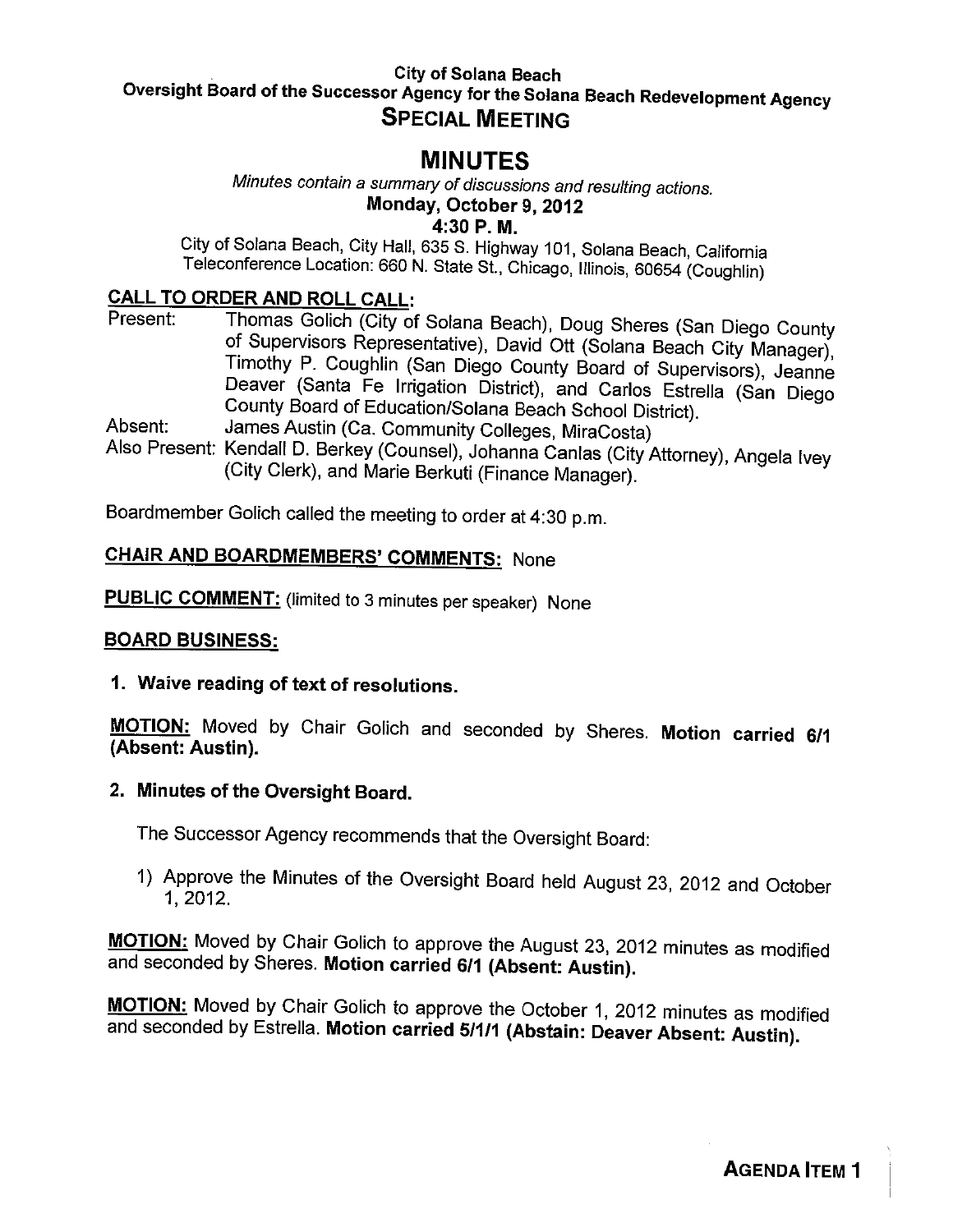#### **City of Solana Beach** Oversight Board of the Successor Agency for the Solana Beach Redevelopment Agency **SPECIAL MEETING**

# **MINUTES**

Minutes contain a summary of discussions and resulting actions. Monday, October 9, 2012

4:30 P.M.

City of Solana Beach, City Hall, 635 S. Highway 101, Solana Beach, California Teleconference Location: 660 N. State St., Chicago, Illinois, 60654 (Coughlin)

#### **CALL TO ORDER AND ROLL CALL:**

- Thomas Golich (City of Solana Beach), Doug Sheres (San Diego County Present: of Supervisors Representative), David Ott (Solana Beach City Manager), Timothy P. Coughlin (San Diego County Board of Supervisors), Jeanne Deaver (Santa Fe Irrigation District), and Carlos Estrella (San Diego County Board of Education/Solana Beach School District). James Austin (Ca. Community Colleges, MiraCosta) Absent:
- Also Present: Kendall D. Berkey (Counsel), Johanna Canlas (City Attorney), Angela Ivey (City Clerk), and Marie Berkuti (Finance Manager).

Boardmember Golich called the meeting to order at 4:30 p.m.

# CHAIR AND BOARDMEMBERS' COMMENTS: None

**PUBLIC COMMENT:** (limited to 3 minutes per speaker) None

#### **BOARD BUSINESS:**

1. Waive reading of text of resolutions.

MOTION: Moved by Chair Golich and seconded by Sheres. Motion carried 6/1 (Absent: Austin).

#### 2. Minutes of the Oversight Board.

The Successor Agency recommends that the Oversight Board:

1) Approve the Minutes of the Oversight Board held August 23, 2012 and October 1, 2012.

MOTION: Moved by Chair Golich to approve the August 23, 2012 minutes as modified and seconded by Sheres. Motion carried 6/1 (Absent: Austin).

MOTION: Moved by Chair Golich to approve the October 1, 2012 minutes as modified and seconded by Estrella. Motion carried 5/1/1 (Abstain: Deaver Absent: Austin).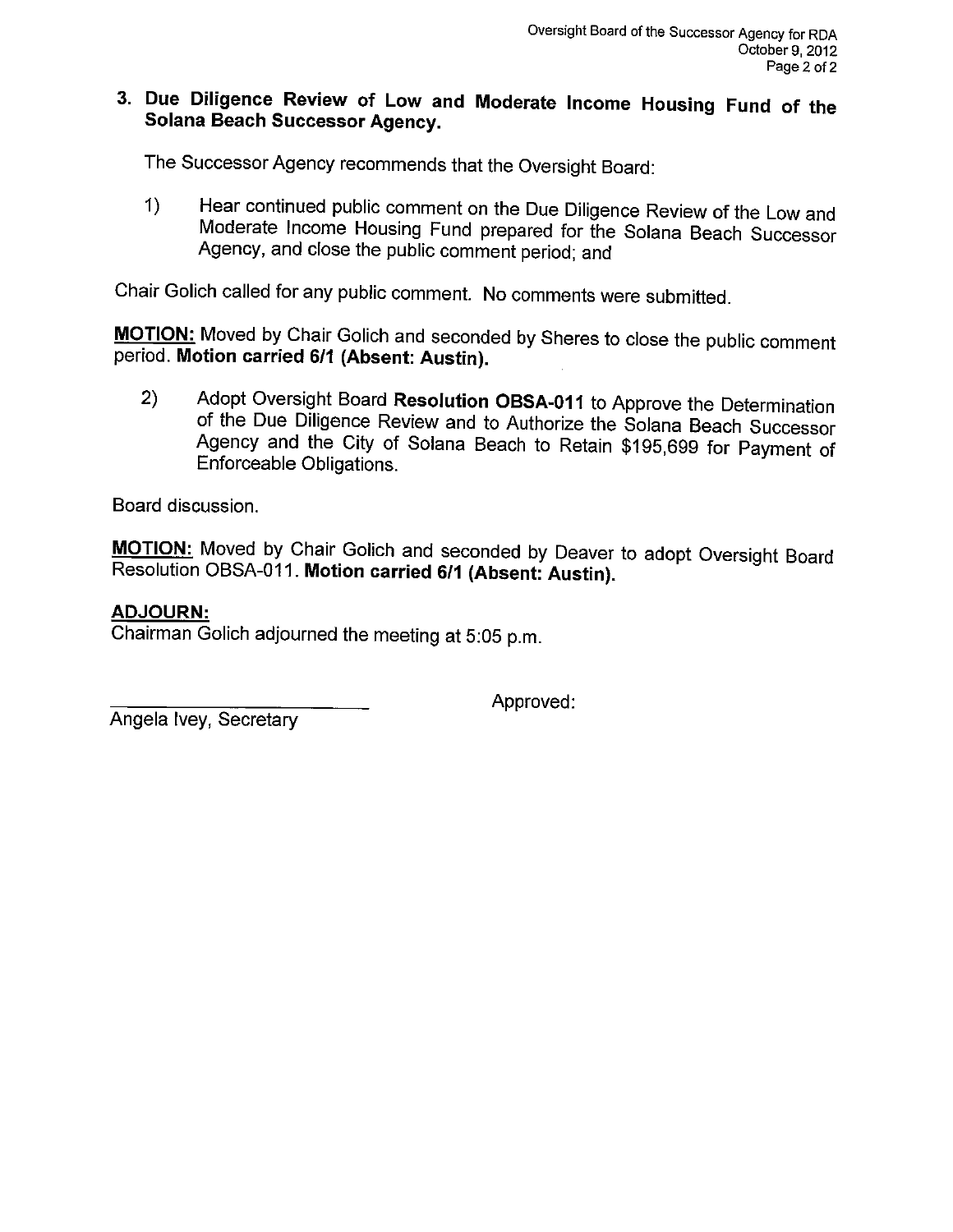### 3. Due Diligence Review of Low and Moderate Income Housing Fund of the **Solana Beach Successor Agency.**

The Successor Agency recommends that the Oversight Board:

Hear continued public comment on the Due Diligence Review of the Low and  $\left( \mathbf{1}\right)$ Moderate Income Housing Fund prepared for the Solana Beach Successor Agency, and close the public comment period; and

Chair Golich called for any public comment. No comments were submitted.

MOTION: Moved by Chair Golich and seconded by Sheres to close the public comment period. Motion carried 6/1 (Absent: Austin).

Adopt Oversight Board Resolution OBSA-011 to Approve the Determination  $2)$ of the Due Diligence Review and to Authorize the Solana Beach Successor Agency and the City of Solana Beach to Retain \$195,699 for Payment of Enforceable Obligations.

Board discussion.

MOTION: Moved by Chair Golich and seconded by Deaver to adopt Oversight Board Resolution OBSA-011. Motion carried 6/1 (Absent: Austin).

#### **ADJOURN:**

Chairman Golich adjourned the meeting at 5:05 p.m.

Angela Ivey, Secretary

Approved: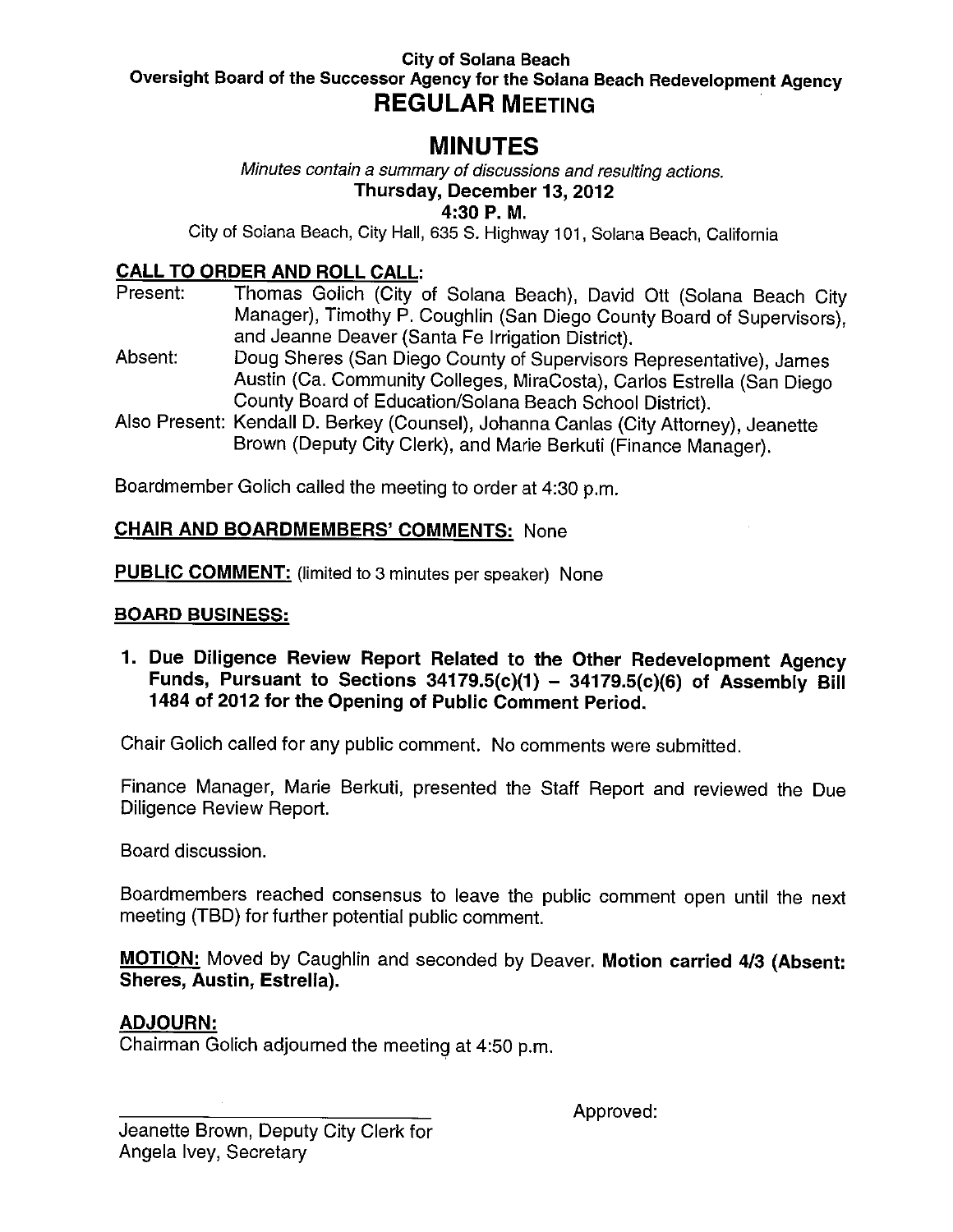#### **City of Solana Beach** Oversight Board of the Successor Agency for the Solana Beach Redevelopment Agency **REGULAR MEETING**

# **MINUTES**

Minutes contain a summary of discussions and resulting actions.

### Thursday, December 13, 2012

4:30 P.M.

City of Solana Beach, City Hall, 635 S. Highway 101, Solana Beach, California

### **CALL TO ORDER AND ROLL CALL:**

- Thomas Golich (City of Solana Beach), David Ott (Solana Beach City Present: Manager), Timothy P. Coughlin (San Diego County Board of Supervisors), and Jeanne Deaver (Santa Fe Irrigation District).
- Absent: Doug Sheres (San Diego County of Supervisors Representative), James Austin (Ca. Community Colleges, MiraCosta), Carlos Estrella (San Diego County Board of Education/Solana Beach School District).
- Also Present: Kendall D. Berkey (Counsel), Johanna Canlas (City Attorney), Jeanette Brown (Deputy City Clerk), and Marie Berkuti (Finance Manager).

Boardmember Golich called the meeting to order at 4:30 p.m.

### **CHAIR AND BOARDMEMBERS' COMMENTS: None**

**PUBLIC COMMENT:** (limited to 3 minutes per speaker) None

#### **BOARD BUSINESS:**

1. Due Diligence Review Report Related to the Other Redevelopment Agency Funds, Pursuant to Sections  $34179.5(c)(1) - 34179.5(c)(6)$  of Assembly Bill 1484 of 2012 for the Opening of Public Comment Period.

Chair Golich called for any public comment. No comments were submitted.

Finance Manager, Marie Berkuti, presented the Staff Report and reviewed the Due Diligence Review Report.

Board discussion.

Boardmembers reached consensus to leave the public comment open until the next meeting (TBD) for further potential public comment.

MOTION: Moved by Caughlin and seconded by Deaver. Motion carried 4/3 (Absent: Sheres, Austin, Estrella).

#### **ADJOURN:**

Chairman Golich adjourned the meeting at 4:50 p.m.

Approved: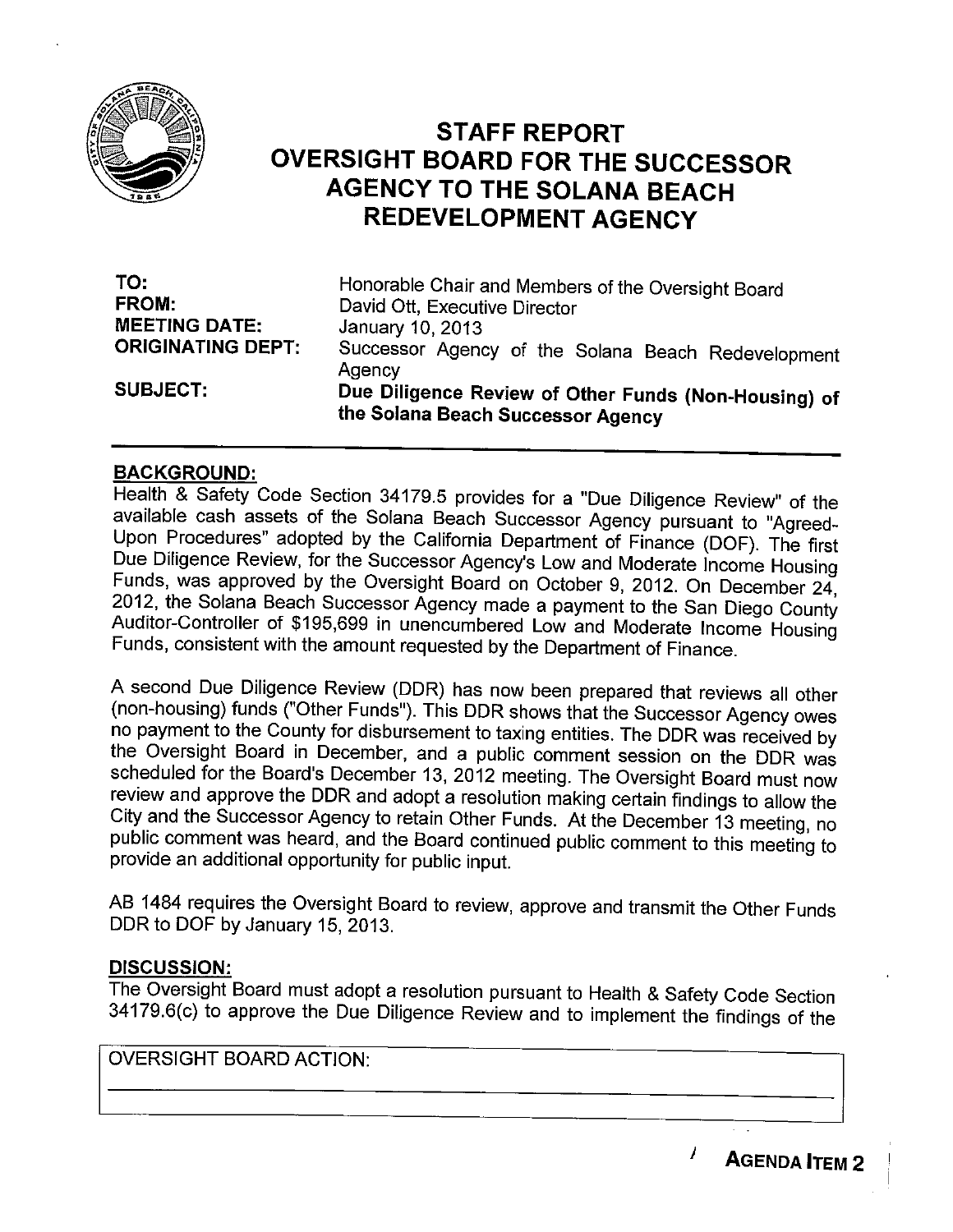

# **STAFF REPORT OVERSIGHT BOARD FOR THE SUCCESSOR AGENCY TO THE SOLANA BEACH REDEVELOPMENT AGENCY**

| TO:                      | Honorable Chair and Members of the Oversight Board                                        |
|--------------------------|-------------------------------------------------------------------------------------------|
| <b>FROM:</b>             | David Ott, Executive Director                                                             |
| <b>MEETING DATE:</b>     | January 10, 2013                                                                          |
| <b>ORIGINATING DEPT:</b> | Successor Agency of the Solana Beach Redevelopment<br>Agency                              |
| <b>SUBJECT:</b>          | Due Diligence Review of Other Funds (Non-Housing) of<br>the Solana Beach Successor Agency |

#### **BACKGROUND:**

Health & Safety Code Section 34179.5 provides for a "Due Diligence Review" of the available cash assets of the Solana Beach Successor Agency pursuant to "Agreed-Upon Procedures" adopted by the California Department of Finance (DOF). The first Due Diligence Review, for the Successor Agency's Low and Moderate Income Housing Funds, was approved by the Oversight Board on October 9, 2012. On December 24, 2012, the Solana Beach Successor Agency made a payment to the San Diego County Auditor-Controller of \$195,699 in unencumbered Low and Moderate Income Housing Funds, consistent with the amount requested by the Department of Finance.

A second Due Diligence Review (DDR) has now been prepared that reviews all other (non-housing) funds ("Other Funds"). This DDR shows that the Successor Agency owes no payment to the County for disbursement to taxing entities. The DDR was received by the Oversight Board in December, and a public comment session on the DDR was scheduled for the Board's December 13, 2012 meeting. The Oversight Board must now review and approve the DDR and adopt a resolution making certain findings to allow the City and the Successor Agency to retain Other Funds. At the December 13 meeting, no public comment was heard, and the Board continued public comment to this meeting to provide an additional opportunity for public input.

AB 1484 requires the Oversight Board to review, approve and transmit the Other Funds DDR to DOF by January 15, 2013.

#### **DISCUSSION:**

The Oversight Board must adopt a resolution pursuant to Health & Safety Code Section 34179.6(c) to approve the Due Diligence Review and to implement the findings of the

**OVERSIGHT BOARD ACTION:** 

**AGENDA ITEM 2** 

I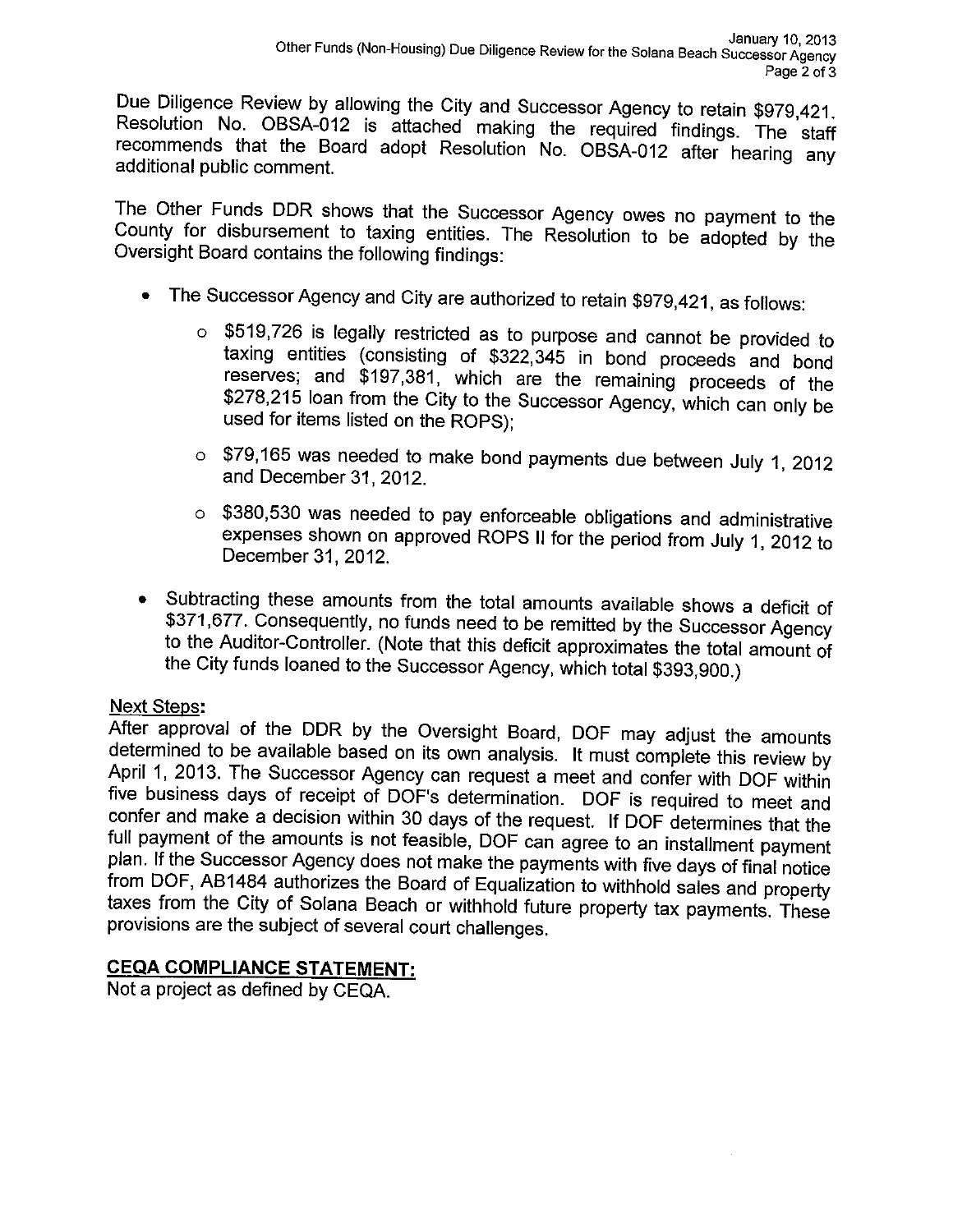Due Diligence Review by allowing the City and Successor Agency to retain \$979,421. Resolution No. OBSA-012 is attached making the required findings. The staff recommends that the Board adopt Resolution No. OBSA-012 after hearing any additional public comment.

The Other Funds DDR shows that the Successor Agency owes no payment to the County for disbursement to taxing entities. The Resolution to be adopted by the Oversight Board contains the following findings:

- The Successor Agency and City are authorized to retain \$979,421, as follows:
	- o \$519,726 is legally restricted as to purpose and cannot be provided to taxing entities (consisting of \$322,345 in bond proceeds and bond reserves; and \$197,381, which are the remaining proceeds of the \$278,215 loan from the City to the Successor Agency, which can only be used for items listed on the ROPS);
	- o \$79,165 was needed to make bond payments due between July 1, 2012 and December 31, 2012.
	- o \$380,530 was needed to pay enforceable obligations and administrative expenses shown on approved ROPS II for the period from July 1, 2012 to December 31, 2012.
- Subtracting these amounts from the total amounts available shows a deficit of \$371,677. Consequently, no funds need to be remitted by the Successor Agency to the Auditor-Controller. (Note that this deficit approximates the total amount of the City funds loaned to the Successor Agency, which total \$393,900.)

#### **Next Steps:**

After approval of the DDR by the Oversight Board, DOF may adjust the amounts determined to be available based on its own analysis. It must complete this review by April 1, 2013. The Successor Agency can request a meet and confer with DOF within five business days of receipt of DOF's determination. DOF is required to meet and confer and make a decision within 30 days of the request. If DOF determines that the full payment of the amounts is not feasible, DOF can agree to an installment payment plan. If the Successor Agency does not make the payments with five days of final notice from DOF, AB1484 authorizes the Board of Equalization to withhold sales and property taxes from the City of Solana Beach or withhold future property tax payments. These provisions are the subject of several court challenges.

## **CEQA COMPLIANCE STATEMENT:**

Not a project as defined by CEQA.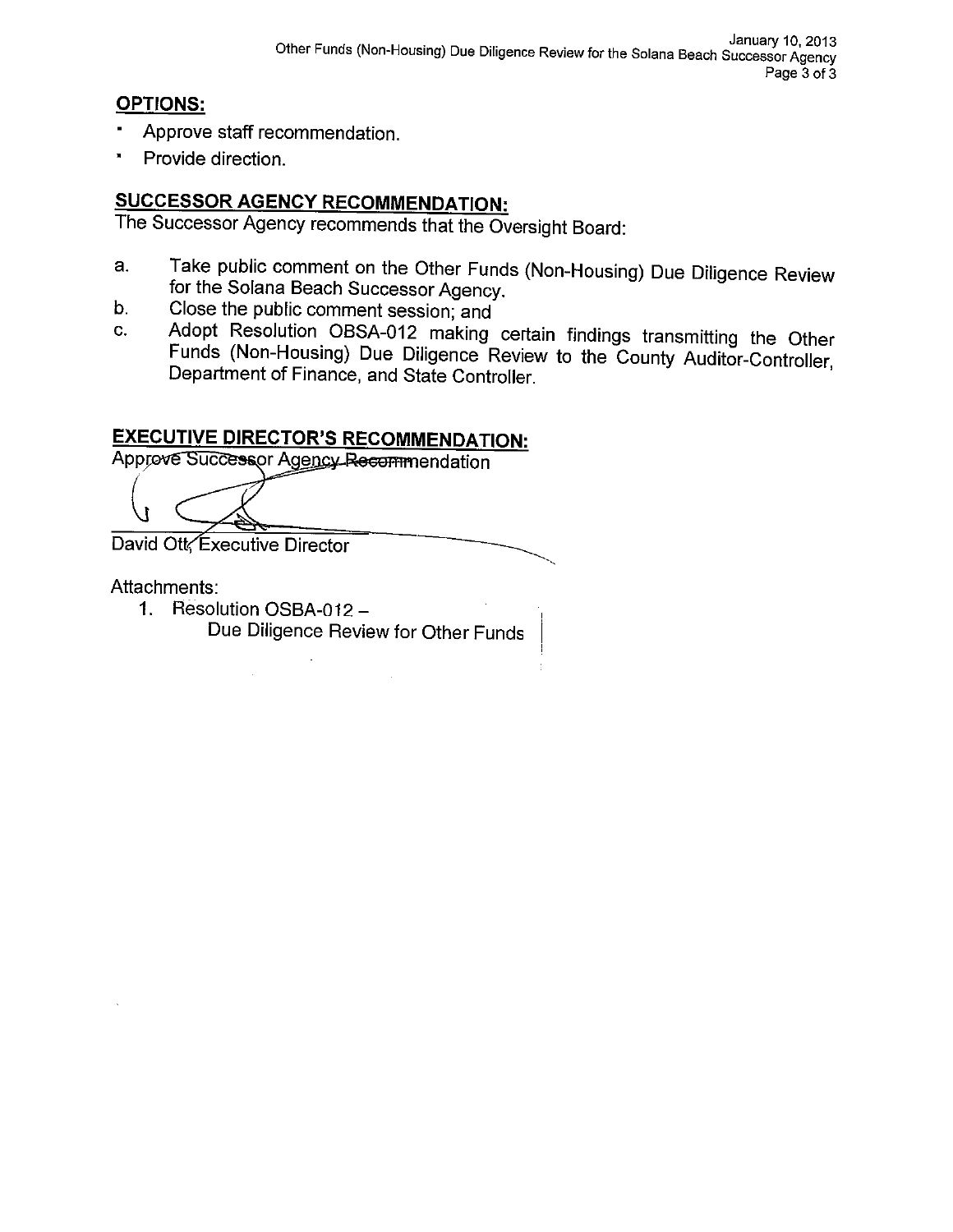#### **OPTIONS:**

- Approve staff recommendation.
- Provide direction.

# **SUCCESSOR AGENCY RECOMMENDATION:**

The Successor Agency recommends that the Oversight Board:

- Take public comment on the Other Funds (Non-Housing) Due Diligence Review a. for the Solana Beach Successor Agency.
- Close the public comment session; and  $b$ .
- Adopt Resolution OBSA-012 making certain findings transmitting the Other C. Funds (Non-Housing) Due Diligence Review to the County Auditor-Controller, Department of Finance, and State Controller.

# **EXECUTIVE DIRECTOR'S RECOMMENDATION:**

Approve Successor Agency Recommendation

David Ott Executive Director

#### Attachments:

1. Resolution OSBA-012 -Due Diligence Review for Other Funds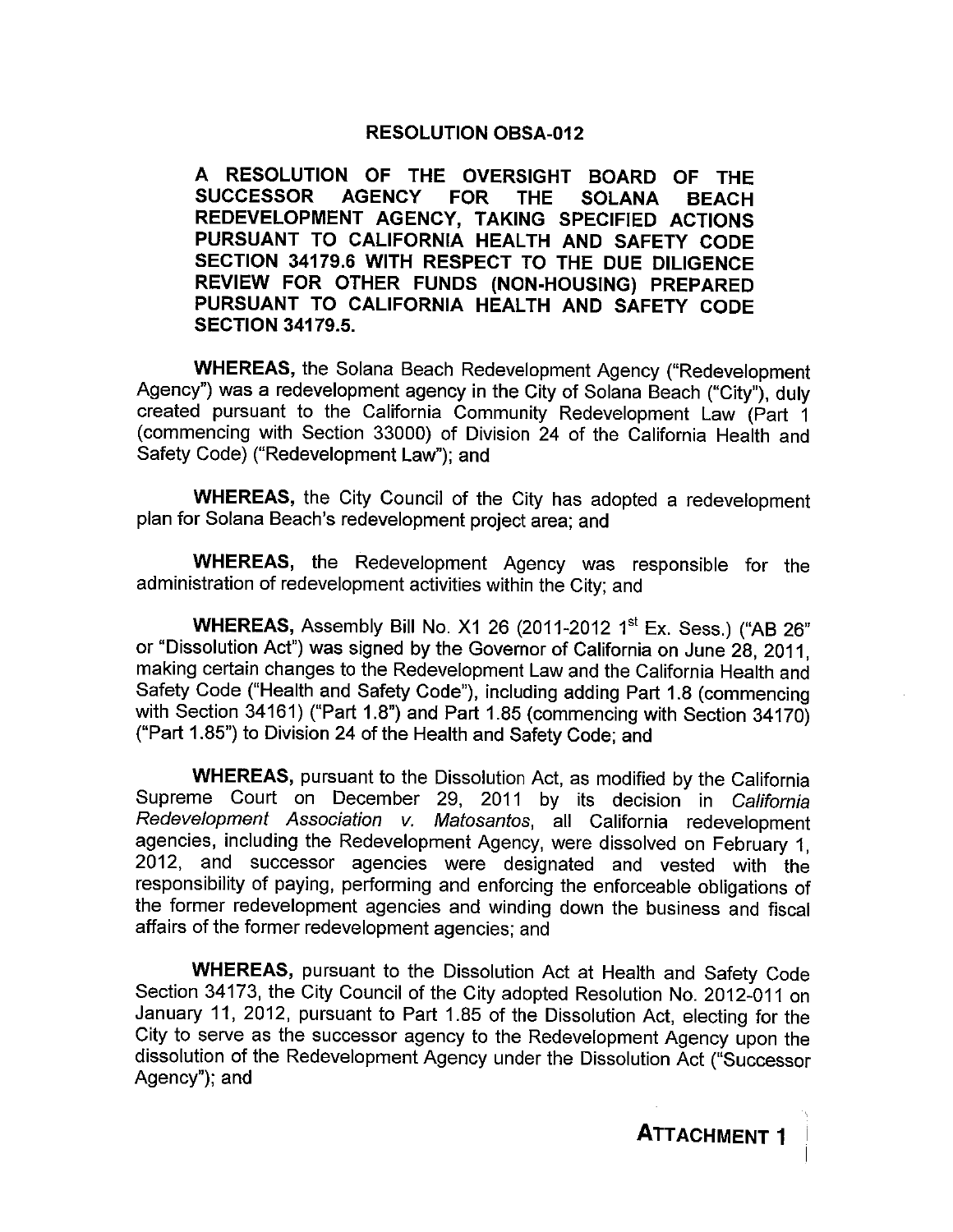#### **RESOLUTION OBSA-012**

A RESOLUTION OF THE OVERSIGHT BOARD OF THE **SUCCESSOR AGENCY FOR THE SOLANA BEACH** REDEVELOPMENT AGENCY, TAKING SPECIFIED ACTIONS PURSUANT TO CALIFORNIA HEALTH AND SAFETY CODE SECTION 34179.6 WITH RESPECT TO THE DUE DILIGENCE REVIEW FOR OTHER FUNDS (NON-HOUSING) PREPARED PURSUANT TO CALIFORNIA HEALTH AND SAFETY CODE **SECTION 34179.5.** 

**WHEREAS, the Solana Beach Redevelopment Agency ("Redevelopment** Agency") was a redevelopment agency in the City of Solana Beach ("City"), duly created pursuant to the California Community Redevelopment Law (Part 1 (commencing with Section 33000) of Division 24 of the California Health and Safety Code) ("Redevelopment Law"); and

WHEREAS, the City Council of the City has adopted a redevelopment plan for Solana Beach's redevelopment project area; and

**WHEREAS,** the Redevelopment Agency was responsible for the administration of redevelopment activities within the City; and

WHEREAS, Assembly Bill No. X1 26 (2011-2012 1st Ex. Sess.) ("AB 26" or "Dissolution Act") was signed by the Governor of California on June 28, 2011. making certain changes to the Redevelopment Law and the California Health and Safety Code ("Health and Safety Code"), including adding Part 1.8 (commencing with Section 34161) ("Part 1.8") and Part 1.85 (commencing with Section 34170) ("Part 1.85") to Division 24 of the Health and Safety Code; and

**WHEREAS**, pursuant to the Dissolution Act, as modified by the California Supreme Court on December 29, 2011 by its decision in California Redevelopment Association v. Matosantos, all California redevelopment agencies, including the Redevelopment Agency, were dissolved on February 1, 2012, and successor agencies were designated and vested with the responsibility of paying, performing and enforcing the enforceable obligations of the former redevelopment agencies and winding down the business and fiscal affairs of the former redevelopment agencies; and

**WHEREAS**, pursuant to the Dissolution Act at Health and Safety Code Section 34173, the City Council of the City adopted Resolution No. 2012-011 on January 11, 2012, pursuant to Part 1.85 of the Dissolution Act, electing for the City to serve as the successor agency to the Redevelopment Agency upon the dissolution of the Redevelopment Agency under the Dissolution Act ("Successor Agency"); and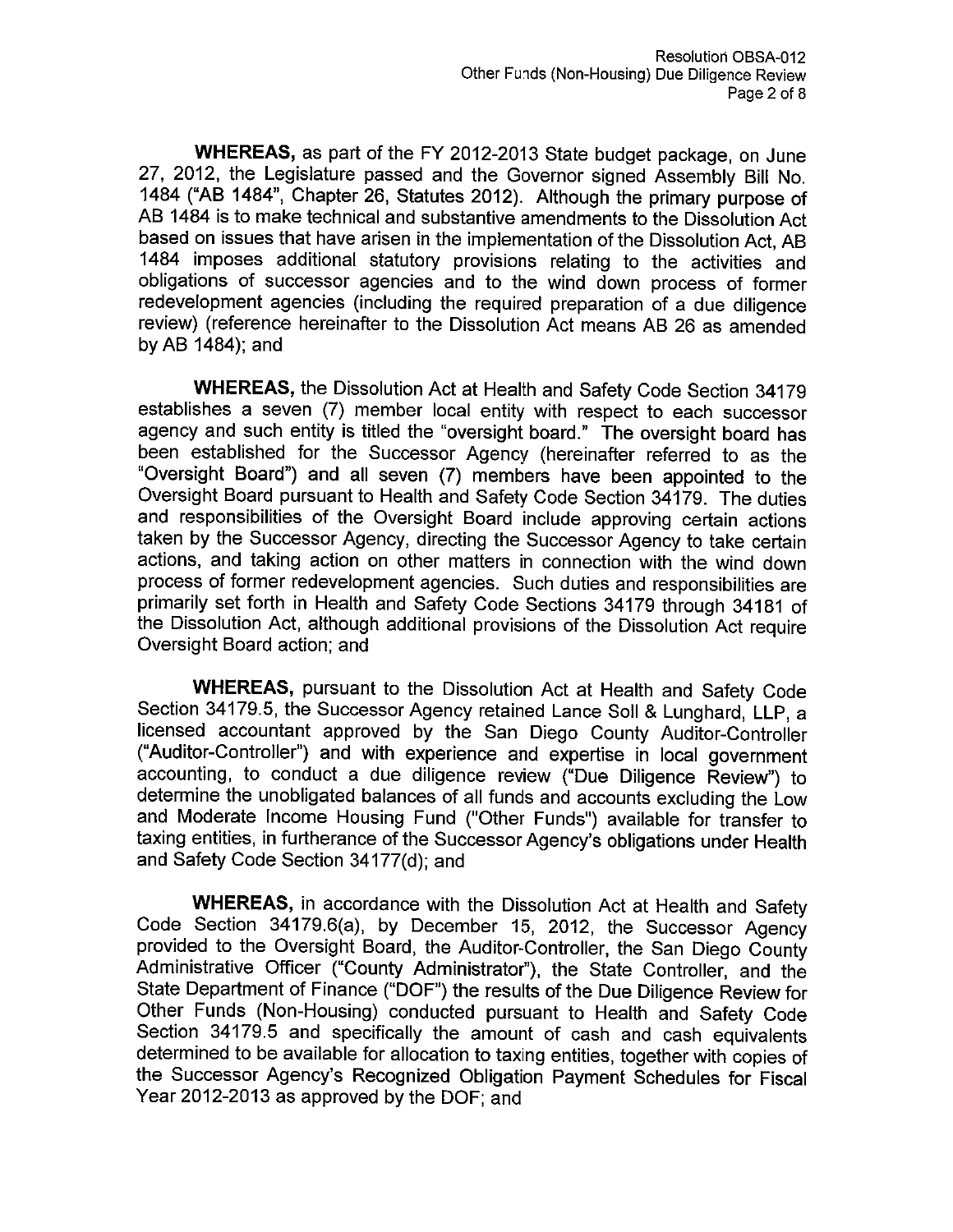WHEREAS, as part of the FY 2012-2013 State budget package, on June 27, 2012, the Legislature passed and the Governor signed Assembly Bill No. 1484 ("AB 1484", Chapter 26, Statutes 2012). Although the primary purpose of AB 1484 is to make technical and substantive amendments to the Dissolution Act based on issues that have arisen in the implementation of the Dissolution Act, AB 1484 imposes additional statutory provisions relating to the activities and obligations of successor agencies and to the wind down process of former redevelopment agencies (including the required preparation of a due diligence review) (reference hereinafter to the Dissolution Act means AB 26 as amended by AB 1484); and

WHEREAS, the Dissolution Act at Health and Safety Code Section 34179 establishes a seven (7) member local entity with respect to each successor agency and such entity is titled the "oversight board." The oversight board has been established for the Successor Agency (hereinafter referred to as the "Oversight Board") and all seven (7) members have been appointed to the Oversight Board pursuant to Health and Safety Code Section 34179. The duties and responsibilities of the Oversight Board include approving certain actions taken by the Successor Agency, directing the Successor Agency to take certain actions, and taking action on other matters in connection with the wind down process of former redevelopment agencies. Such duties and responsibilities are primarily set forth in Health and Safety Code Sections 34179 through 34181 of the Dissolution Act, although additional provisions of the Dissolution Act require Oversight Board action; and

WHEREAS, pursuant to the Dissolution Act at Health and Safety Code Section 34179.5, the Successor Agency retained Lance Soll & Lunghard, LLP, a licensed accountant approved by the San Diego County Auditor-Controller ("Auditor-Controller") and with experience and expertise in local government accounting, to conduct a due diligence review ("Due Diligence Review") to determine the unobligated balances of all funds and accounts excluding the Low and Moderate Income Housing Fund ("Other Funds") available for transfer to taxing entities, in furtherance of the Successor Agency's obligations under Health and Safety Code Section 34177(d); and

**WHEREAS**, in accordance with the Dissolution Act at Health and Safety Code Section 34179.6(a), by December 15, 2012, the Successor Agency provided to the Oversight Board, the Auditor-Controller, the San Diego County Administrative Officer ("County Administrator"), the State Controller, and the State Department of Finance ("DOF") the results of the Due Diligence Review for Other Funds (Non-Housing) conducted pursuant to Health and Safety Code Section 34179.5 and specifically the amount of cash and cash equivalents determined to be available for allocation to taxing entities, together with copies of the Successor Agency's Recognized Obligation Payment Schedules for Fiscal Year 2012-2013 as approved by the DOF; and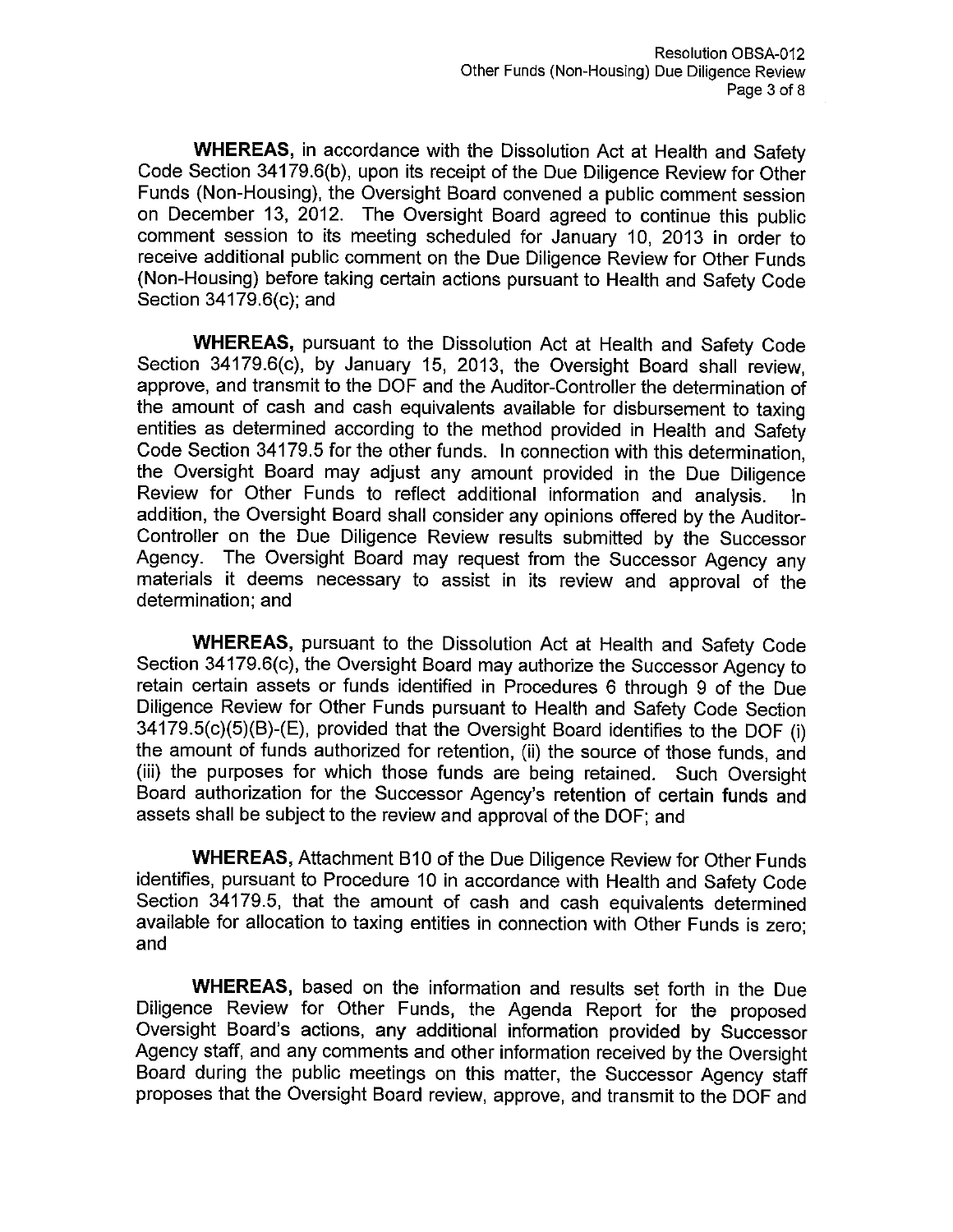WHEREAS, in accordance with the Dissolution Act at Health and Safety Code Section 34179.6(b), upon its receipt of the Due Diligence Review for Other Funds (Non-Housing), the Oversight Board convened a public comment session on December 13, 2012. The Oversight Board agreed to continue this public comment session to its meeting scheduled for January 10, 2013 in order to receive additional public comment on the Due Diligence Review for Other Funds (Non-Housing) before taking certain actions pursuant to Health and Safety Code Section 34179.6(c); and

**WHEREAS, pursuant to the Dissolution Act at Health and Safety Code** Section 34179.6(c), by January 15, 2013, the Oversight Board shall review, approve, and transmit to the DOF and the Auditor-Controller the determination of the amount of cash and cash equivalents available for disbursement to taxing entities as determined according to the method provided in Health and Safety Code Section 34179.5 for the other funds. In connection with this determination, the Oversight Board may adjust any amount provided in the Due Diligence Review for Other Funds to reflect additional information and analysis. addition, the Oversight Board shall consider any opinions offered by the Auditor-Controller on the Due Diligence Review results submitted by the Successor Agency. The Oversight Board may request from the Successor Agency any materials it deems necessary to assist in its review and approval of the determination; and

WHEREAS, pursuant to the Dissolution Act at Health and Safety Code Section 34179.6(c), the Oversight Board may authorize the Successor Agency to retain certain assets or funds identified in Procedures 6 through 9 of the Due Diligence Review for Other Funds pursuant to Health and Safety Code Section 34179.5(c)(5)(B)-(E), provided that the Oversight Board identifies to the DOF (i) the amount of funds authorized for retention, (ii) the source of those funds, and (iii) the purposes for which those funds are being retained. Such Oversight Board authorization for the Successor Agency's retention of certain funds and assets shall be subject to the review and approval of the DOF; and

**WHEREAS, Attachment B10 of the Due Diligence Review for Other Funds** identifies, pursuant to Procedure 10 in accordance with Health and Safety Code Section 34179.5, that the amount of cash and cash equivalents determined available for allocation to taxing entities in connection with Other Funds is zero; and

WHEREAS, based on the information and results set forth in the Due Diligence Review for Other Funds, the Agenda Report for the proposed Oversight Board's actions, any additional information provided by Successor Agency staff, and any comments and other information received by the Oversight Board during the public meetings on this matter, the Successor Agency staff proposes that the Oversight Board review, approve, and transmit to the DOF and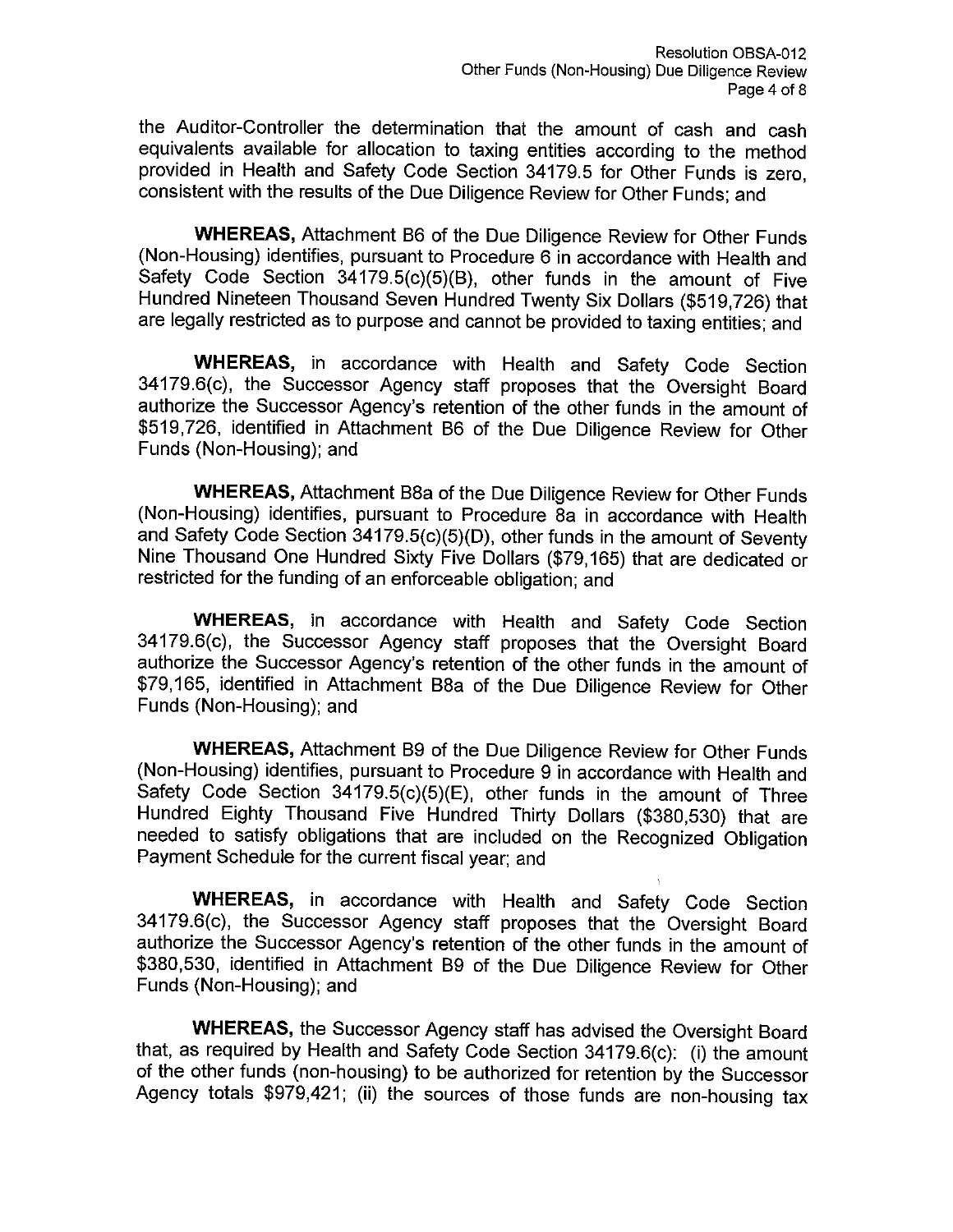the Auditor-Controller the determination that the amount of cash and cash equivalents available for allocation to taxing entities according to the method provided in Health and Safety Code Section 34179.5 for Other Funds is zero. consistent with the results of the Due Diligence Review for Other Funds; and

**WHEREAS, Attachment B6 of the Due Diligence Review for Other Funds** (Non-Housing) identifies, pursuant to Procedure 6 in accordance with Health and Safety Code Section 34179.5(c)(5)(B), other funds in the amount of Five Hundred Nineteen Thousand Seven Hundred Twenty Six Dollars (\$519,726) that are legally restricted as to purpose and cannot be provided to taxing entities; and

WHEREAS, in accordance with Health and Safety Code Section 34179.6(c), the Successor Agency staff proposes that the Oversight Board authorize the Successor Agency's retention of the other funds in the amount of \$519,726, identified in Attachment B6 of the Due Diligence Review for Other Funds (Non-Housing); and

**WHEREAS, Attachment B8a of the Due Diligence Review for Other Funds** (Non-Housing) identifies, pursuant to Procedure 8a in accordance with Health and Safety Code Section 34179.5(c)(5)(D), other funds in the amount of Seventy Nine Thousand One Hundred Sixty Five Dollars (\$79,165) that are dedicated or restricted for the funding of an enforceable obligation; and

**WHEREAS,** in accordance with Health and Safety Code Section 34179.6(c), the Successor Agency staff proposes that the Oversight Board authorize the Successor Agency's retention of the other funds in the amount of \$79,165, identified in Attachment B8a of the Due Diligence Review for Other Funds (Non-Housing); and

WHEREAS, Attachment B9 of the Due Diligence Review for Other Funds (Non-Housing) identifies, pursuant to Procedure 9 in accordance with Health and Safety Code Section 34179.5(c)(5)(E), other funds in the amount of Three Hundred Eighty Thousand Five Hundred Thirty Dollars (\$380,530) that are needed to satisfy obligations that are included on the Recognized Obligation Payment Schedule for the current fiscal year; and

WHEREAS, in accordance with Health and Safety Code Section 34179.6(c), the Successor Agency staff proposes that the Oversight Board authorize the Successor Agency's retention of the other funds in the amount of \$380,530, identified in Attachment B9 of the Due Diligence Review for Other Funds (Non-Housing); and

WHEREAS, the Successor Agency staff has advised the Oversight Board that, as required by Health and Safety Code Section 34179.6(c): (i) the amount of the other funds (non-housing) to be authorized for retention by the Successor Agency totals \$979,421; (ii) the sources of those funds are non-housing tax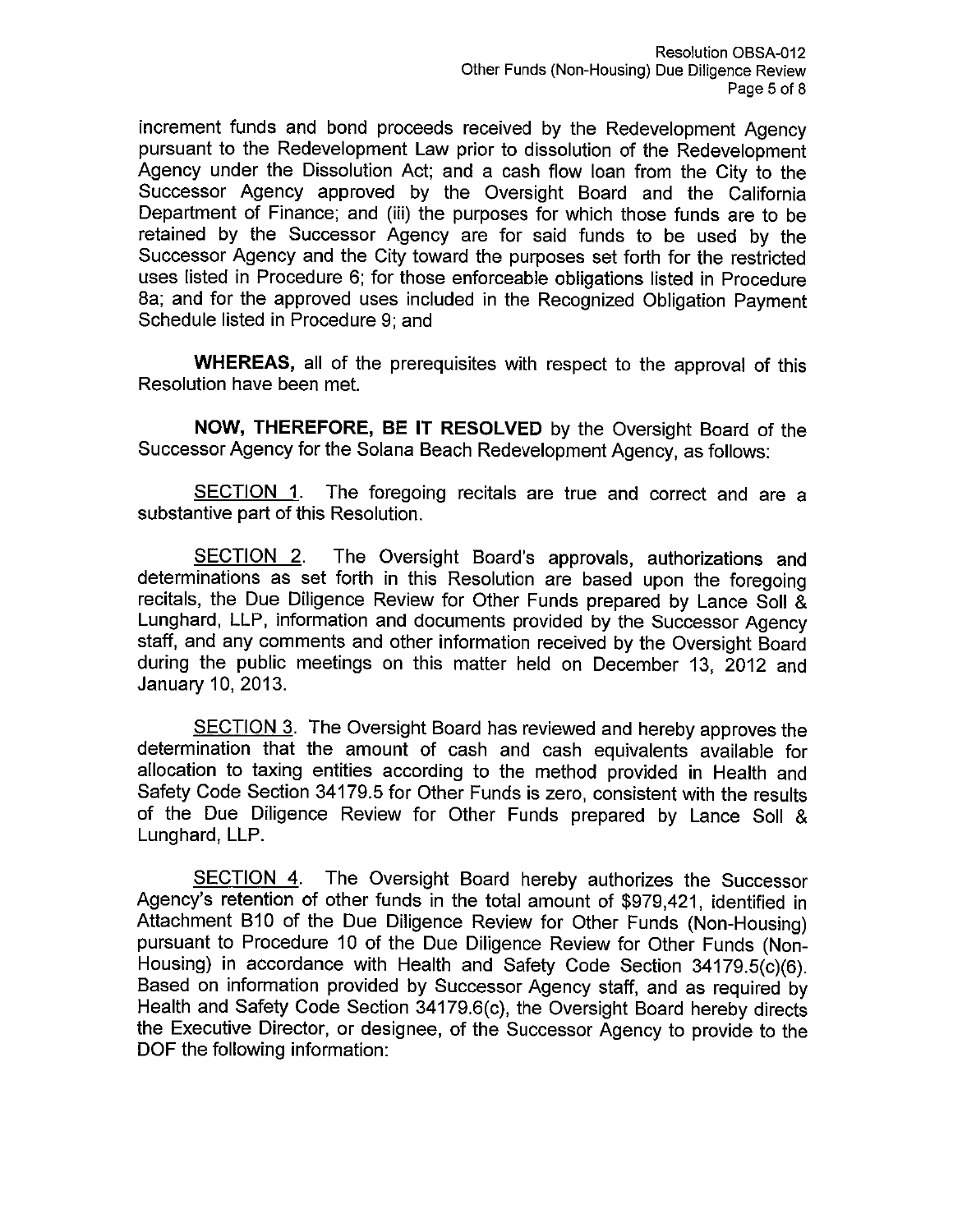increment funds and bond proceeds received by the Redevelopment Agency pursuant to the Redevelopment Law prior to dissolution of the Redevelopment Agency under the Dissolution Act; and a cash flow loan from the City to the Successor Agency approved by the Oversight Board and the California Department of Finance; and (iii) the purposes for which those funds are to be retained by the Successor Agency are for said funds to be used by the Successor Agency and the City toward the purposes set forth for the restricted uses listed in Procedure 6; for those enforceable obligations listed in Procedure 8a: and for the approved uses included in the Recognized Obligation Payment Schedule listed in Procedure 9: and

WHEREAS, all of the prerequisites with respect to the approval of this Resolution have been met.

NOW, THEREFORE, BE IT RESOLVED by the Oversight Board of the Successor Agency for the Solana Beach Redevelopment Agency, as follows:

The foregoing recitals are true and correct and are a SECTION 1. substantive part of this Resolution.

SECTION 2. The Oversight Board's approvals, authorizations and determinations as set forth in this Resolution are based upon the foregoing recitals, the Due Diligence Review for Other Funds prepared by Lance Soll & Lunghard, LLP, information and documents provided by the Successor Agency staff, and any comments and other information received by the Oversight Board during the public meetings on this matter held on December 13, 2012 and January 10, 2013.

SECTION 3. The Oversight Board has reviewed and hereby approves the determination that the amount of cash and cash equivalents available for allocation to taxing entities according to the method provided in Health and Safety Code Section 34179.5 for Other Funds is zero, consistent with the results of the Due Diligence Review for Other Funds prepared by Lance Soll & Lunghard, LLP.

**SECTION 4.** The Oversight Board hereby authorizes the Successor Agency's retention of other funds in the total amount of \$979,421, identified in Attachment B10 of the Due Diligence Review for Other Funds (Non-Housing) pursuant to Procedure 10 of the Due Diligence Review for Other Funds (Non-Housing) in accordance with Health and Safety Code Section 34179.5(c)(6). Based on information provided by Successor Agency staff, and as required by Health and Safety Code Section 34179.6(c), the Oversight Board hereby directs the Executive Director, or designee, of the Successor Agency to provide to the DOF the following information: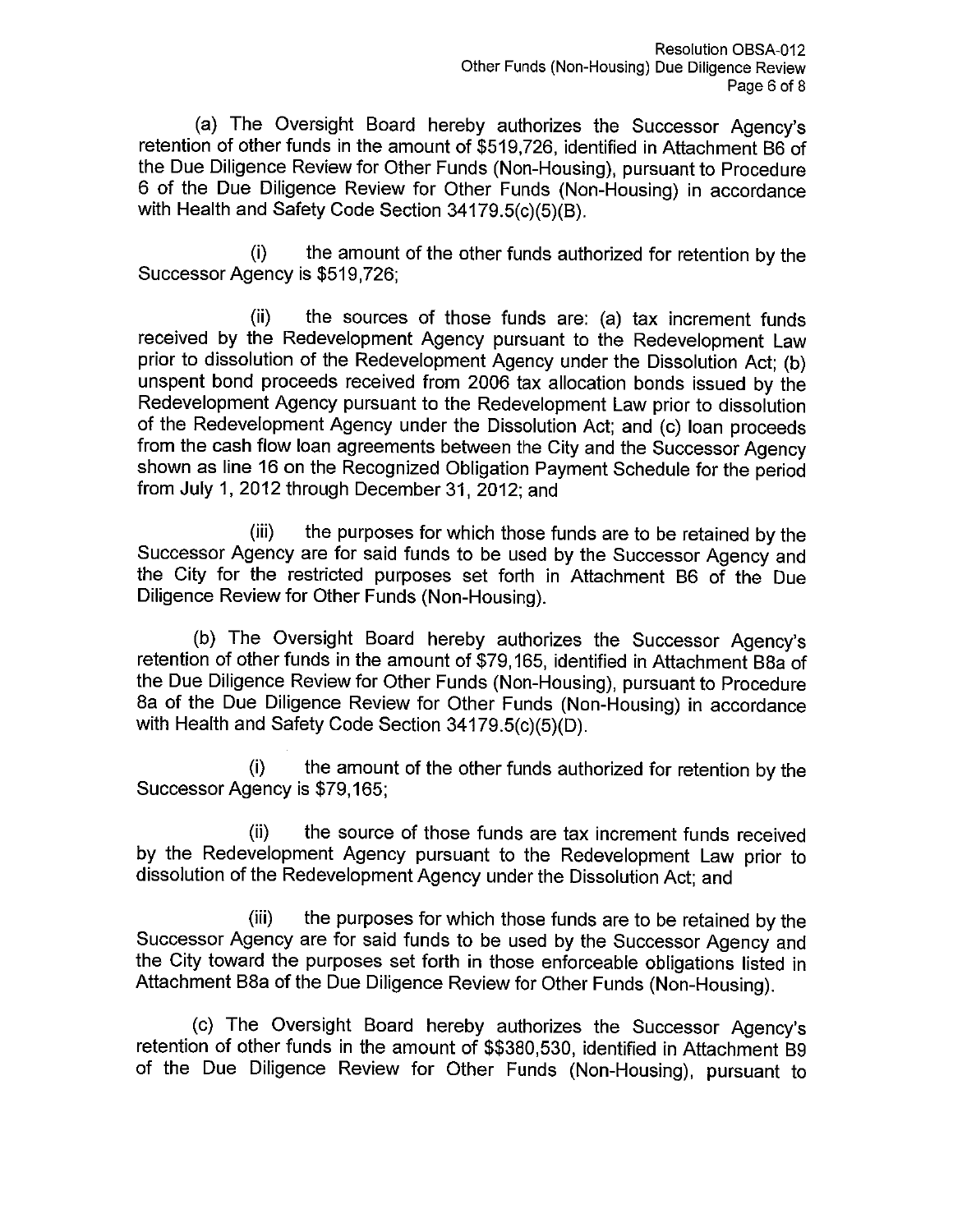(a) The Oversight Board hereby authorizes the Successor Agency's retention of other funds in the amount of \$519,726, identified in Attachment B6 of the Due Diligence Review for Other Funds (Non-Housing), pursuant to Procedure 6 of the Due Diligence Review for Other Funds (Non-Housing) in accordance with Health and Safety Code Section 34179.5(c)(5)(B).

the amount of the other funds authorized for retention by the  $(i)$ Successor Agency is \$519,726;

the sources of those funds are: (a) tax increment funds (ii). received by the Redevelopment Agency pursuant to the Redevelopment Law prior to dissolution of the Redevelopment Agency under the Dissolution Act; (b) unspent bond proceeds received from 2006 tax allocation bonds issued by the Redevelopment Agency pursuant to the Redevelopment Law prior to dissolution of the Redevelopment Agency under the Dissolution Act; and (c) loan proceeds from the cash flow loan agreements between the City and the Successor Agency shown as line 16 on the Recognized Obligation Payment Schedule for the period from July 1, 2012 through December 31, 2012; and

 $(iii)$ the purposes for which those funds are to be retained by the Successor Agency are for said funds to be used by the Successor Agency and the City for the restricted purposes set forth in Attachment B6 of the Due Diligence Review for Other Funds (Non-Housing).

(b) The Oversight Board hereby authorizes the Successor Agency's retention of other funds in the amount of \$79,165, identified in Attachment B8a of the Due Diligence Review for Other Funds (Non-Housing), pursuant to Procedure 8a of the Due Diligence Review for Other Funds (Non-Housing) in accordance with Health and Safety Code Section 34179.5(c)(5)(D).

 $(i)$ the amount of the other funds authorized for retention by the Successor Agency is \$79,165;

the source of those funds are tax increment funds received  $(ii)$ by the Redevelopment Agency pursuant to the Redevelopment Law prior to dissolution of the Redevelopment Agency under the Dissolution Act; and

the purposes for which those funds are to be retained by the (iii) Successor Agency are for said funds to be used by the Successor Agency and the City toward the purposes set forth in those enforceable obligations listed in Attachment B8a of the Due Diligence Review for Other Funds (Non-Housing).

(c) The Oversight Board hereby authorizes the Successor Agency's retention of other funds in the amount of \$\$380,530, identified in Attachment B9 of the Due Diligence Review for Other Funds (Non-Housing), pursuant to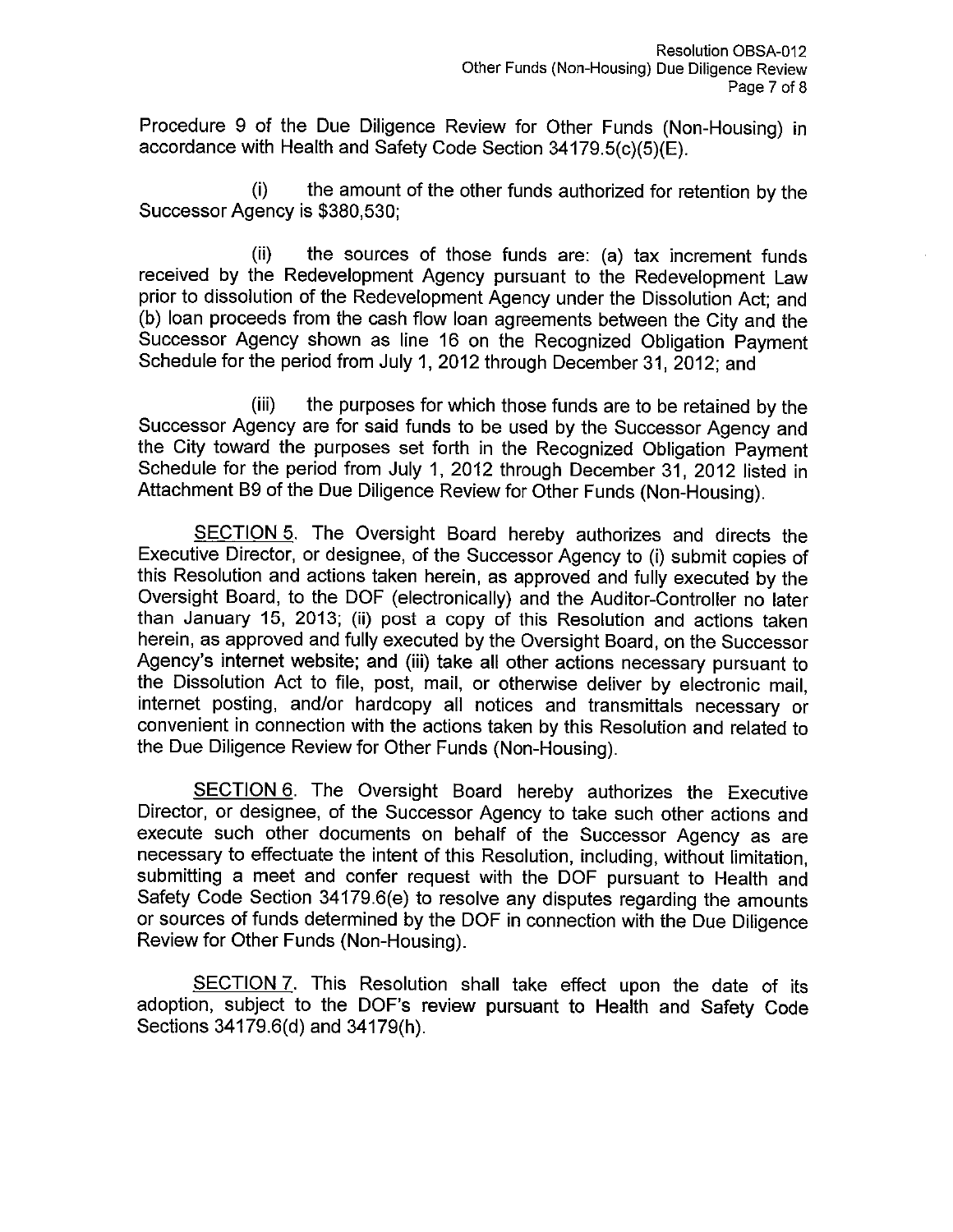Procedure 9 of the Due Diligence Review for Other Funds (Non-Housing) in accordance with Health and Safety Code Section 34179.5(c)(5)(E).

the amount of the other funds authorized for retention by the  $(i)$ Successor Agency is \$380,530;

the sources of those funds are: (a) tax increment funds  $(ii)$ received by the Redevelopment Agency pursuant to the Redevelopment Law prior to dissolution of the Redevelopment Agency under the Dissolution Act; and (b) loan proceeds from the cash flow loan agreements between the City and the Successor Agency shown as line 16 on the Recognized Obligation Payment Schedule for the period from July 1, 2012 through December 31, 2012; and

the purposes for which those funds are to be retained by the (iii) Successor Agency are for said funds to be used by the Successor Agency and the City toward the purposes set forth in the Recognized Obligation Payment Schedule for the period from July 1, 2012 through December 31, 2012 listed in Attachment B9 of the Due Diligence Review for Other Funds (Non-Housing).

SECTION 5. The Oversight Board hereby authorizes and directs the Executive Director, or designee, of the Successor Agency to (i) submit copies of this Resolution and actions taken herein, as approved and fully executed by the Oversight Board, to the DOF (electronically) and the Auditor-Controller no later than January 15, 2013; (ii) post a copy of this Resolution and actions taken herein, as approved and fully executed by the Oversight Board, on the Successor Agency's internet website; and (iii) take all other actions necessary pursuant to the Dissolution Act to file, post, mail, or otherwise deliver by electronic mail. internet posting, and/or hardcopy all notices and transmittals necessary or convenient in connection with the actions taken by this Resolution and related to the Due Diligence Review for Other Funds (Non-Housing).

SECTION 6. The Oversight Board hereby authorizes the Executive Director, or designee, of the Successor Agency to take such other actions and execute such other documents on behalf of the Successor Agency as are necessary to effectuate the intent of this Resolution, including, without limitation, submitting a meet and confer request with the DOF pursuant to Health and Safety Code Section 34179.6(e) to resolve any disputes regarding the amounts or sources of funds determined by the DOF in connection with the Due Diligence Review for Other Funds (Non-Housing).

SECTION 7. This Resolution shall take effect upon the date of its adoption, subject to the DOF's review pursuant to Health and Safety Code Sections 34179.6(d) and 34179(h).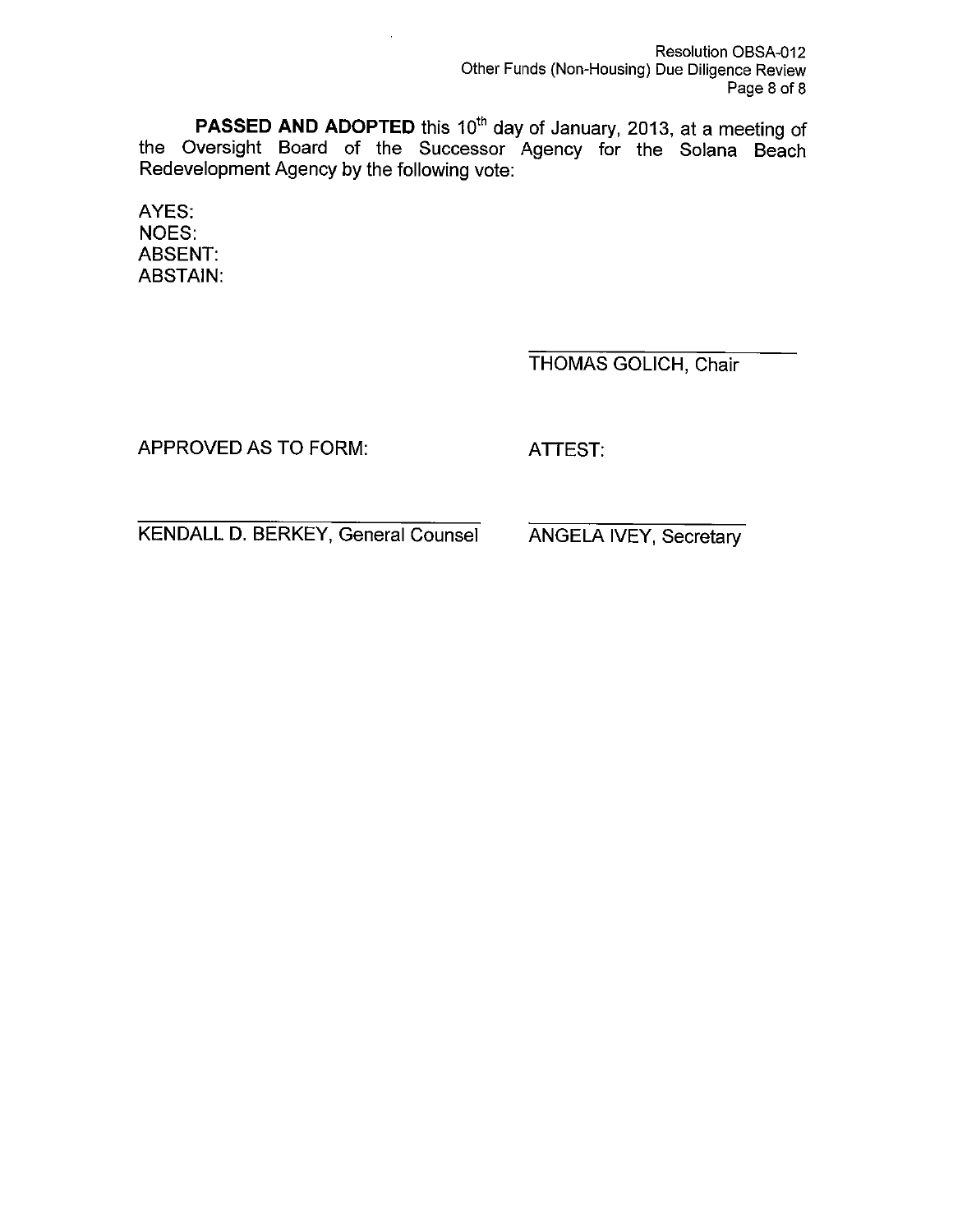**PASSED AND ADOPTED** this 10<sup>th</sup> day of January, 2013, at a meeting of the Oversight Board of the Successor Agency for the Solana Beach Redevelopment Agency by the following vote:

AYES: **NOES: ABSENT: ABSTAIN:** 

THOMAS GOLICH, Chair

APPROVED AS TO FORM:

ATTEST.

**KENDALL D. BERKEY, General Counsel** 

**ANGELA IVEY, Secretary**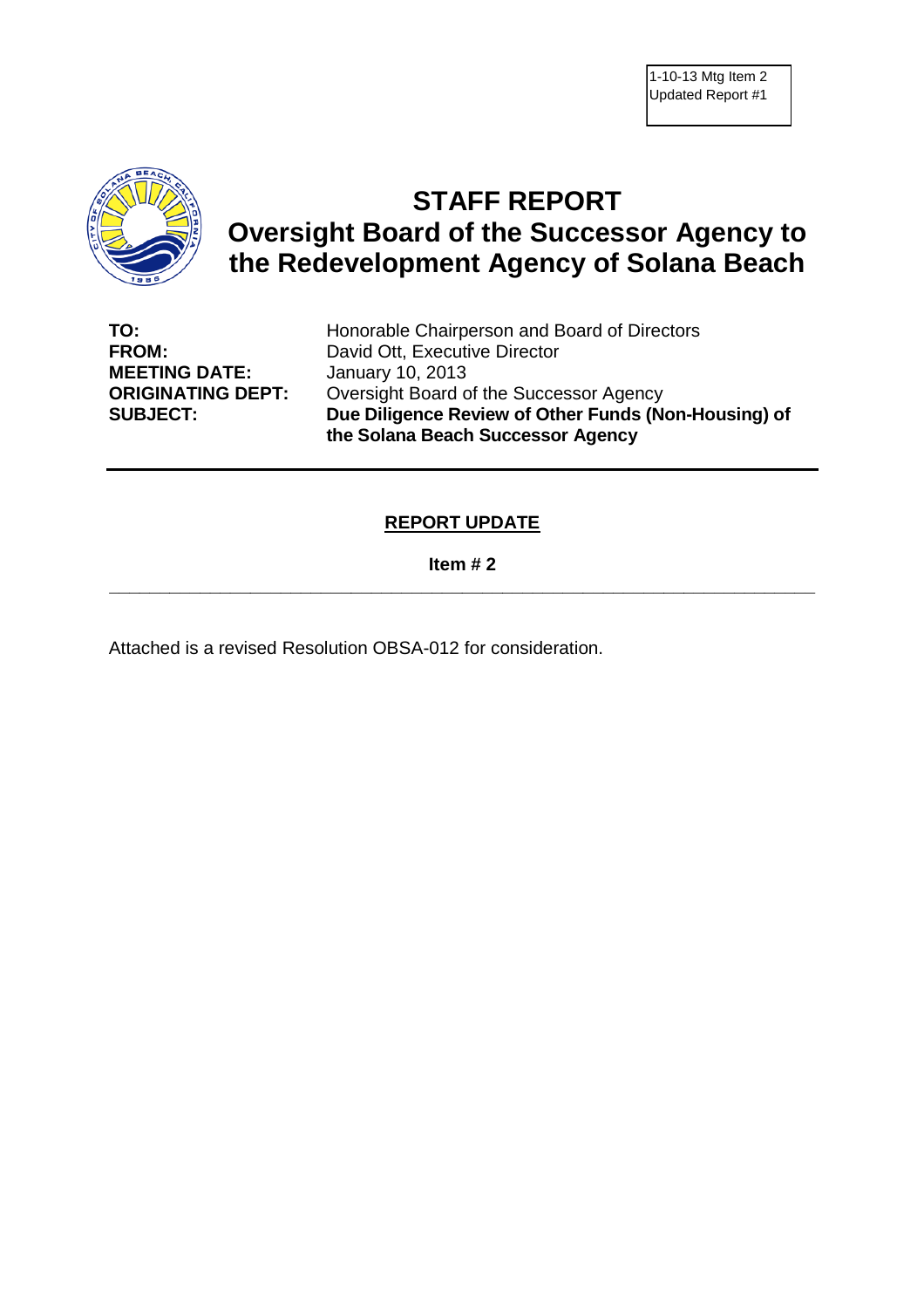

# **STAFF REPORT Oversight Board of the Successor Agency to the Redevelopment Agency of Solana Beach**

**MEETING DATE:** January 10, 2013

**TO:** Honorable Chairperson and Board of Directors **FROM:** David Ott, Executive Director **ORIGINATING DEPT:** Oversight Board of the Successor Agency **SUBJECT: Due Diligence Review of Other Funds (Non-Housing) of the Solana Beach Successor Agency**

#### **REPORT UPDATE**

#### **Item # 2 \_\_\_\_\_\_\_\_\_\_\_\_\_\_\_\_\_\_\_\_\_\_\_\_\_\_\_\_\_\_\_\_\_\_\_\_\_\_\_\_\_\_\_\_\_\_\_\_\_\_\_\_\_\_\_\_\_\_\_\_\_\_\_\_\_\_\_\_\_\_**

Attached is a revised Resolution OBSA-012 for consideration.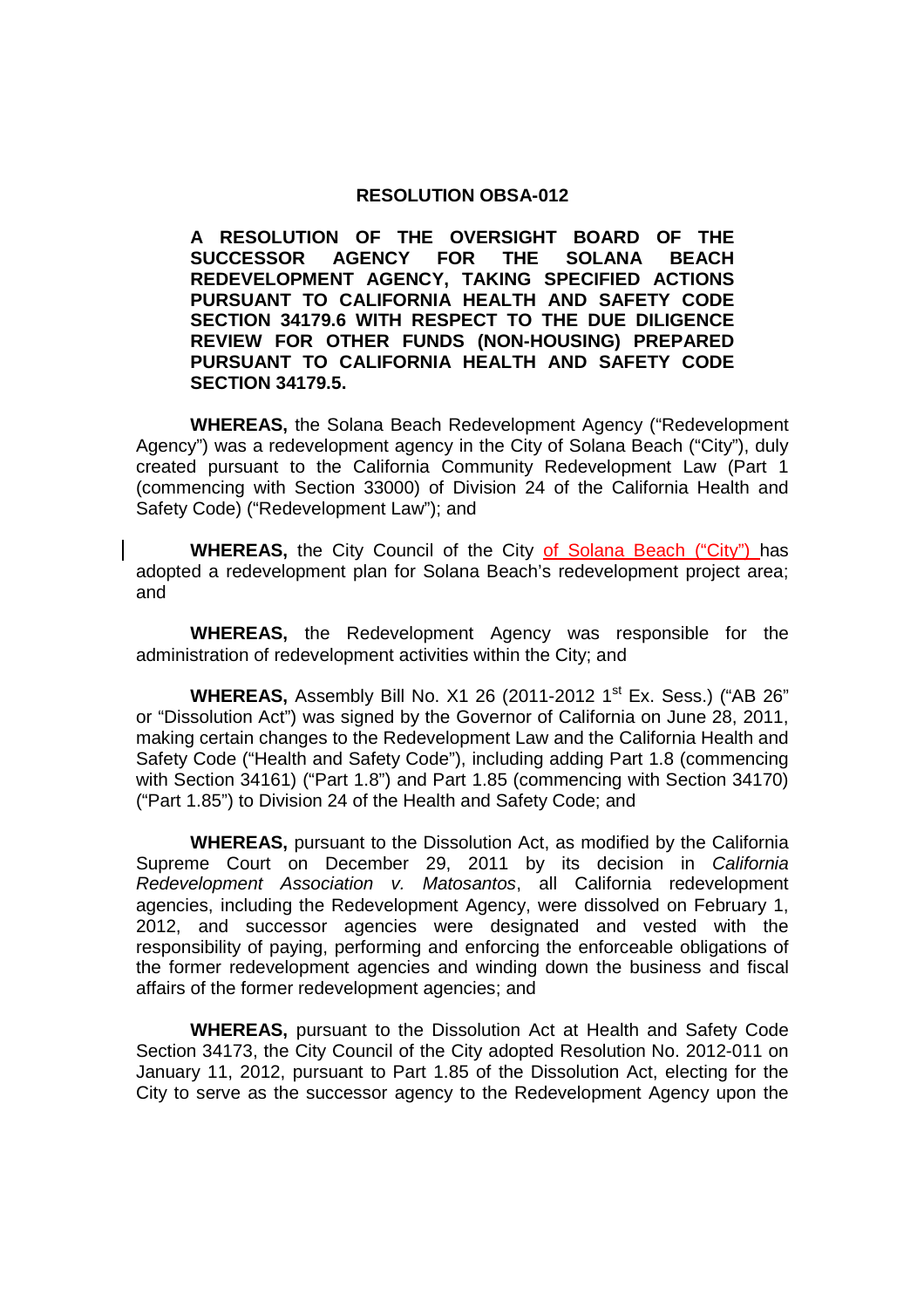#### **RESOLUTION OBSA-012**

**A RESOLUTION OF THE OVERSIGHT BOARD OF THE SUCCESSOR AGENCY FOR THE SOLANA BEACH REDEVELOPMENT AGENCY, TAKING SPECIFIED ACTIONS PURSUANT TO CALIFORNIA HEALTH AND SAFETY CODE SECTION 34179.6 WITH RESPECT TO THE DUE DILIGENCE REVIEW FOR OTHER FUNDS (NON-HOUSING) PREPARED PURSUANT TO CALIFORNIA HEALTH AND SAFETY CODE SECTION 34179.5.**

**WHEREAS,** the Solana Beach Redevelopment Agency ("Redevelopment Agency") was a redevelopment agency in the City of Solana Beach ("City"), duly created pursuant to the California Community Redevelopment Law (Part 1 (commencing with Section 33000) of Division 24 of the California Health and Safety Code) ("Redevelopment Law"); and

**WHEREAS,** the City Council of the City of Solana Beach ("City") has adopted a redevelopment plan for Solana Beach's redevelopment project area; and

**WHEREAS,** the Redevelopment Agency was responsible for the administration of redevelopment activities within the City; and

**WHEREAS, Assembly Bill No. X1 26 (2011-2012 1<sup>st</sup> Ex. Sess.) ("AB 26"** or "Dissolution Act") was signed by the Governor of California on June 28, 2011, making certain changes to the Redevelopment Law and the California Health and Safety Code ("Health and Safety Code"), including adding Part 1.8 (commencing with Section 34161) ("Part 1.8") and Part 1.85 (commencing with Section 34170) ("Part 1.85") to Division 24 of the Health and Safety Code; and

**WHEREAS,** pursuant to the Dissolution Act, as modified by the California Supreme Court on December 29, 2011 by its decision in *California Redevelopment Association v. Matosantos*, all California redevelopment agencies, including the Redevelopment Agency, were dissolved on February 1, 2012, and successor agencies were designated and vested with the responsibility of paying, performing and enforcing the enforceable obligations of the former redevelopment agencies and winding down the business and fiscal affairs of the former redevelopment agencies; and

**WHEREAS,** pursuant to the Dissolution Act at Health and Safety Code Section 34173, the City Council of the City adopted Resolution No. 2012-011 on January 11, 2012, pursuant to Part 1.85 of the Dissolution Act, electing for the City to serve as the successor agency to the Redevelopment Agency upon the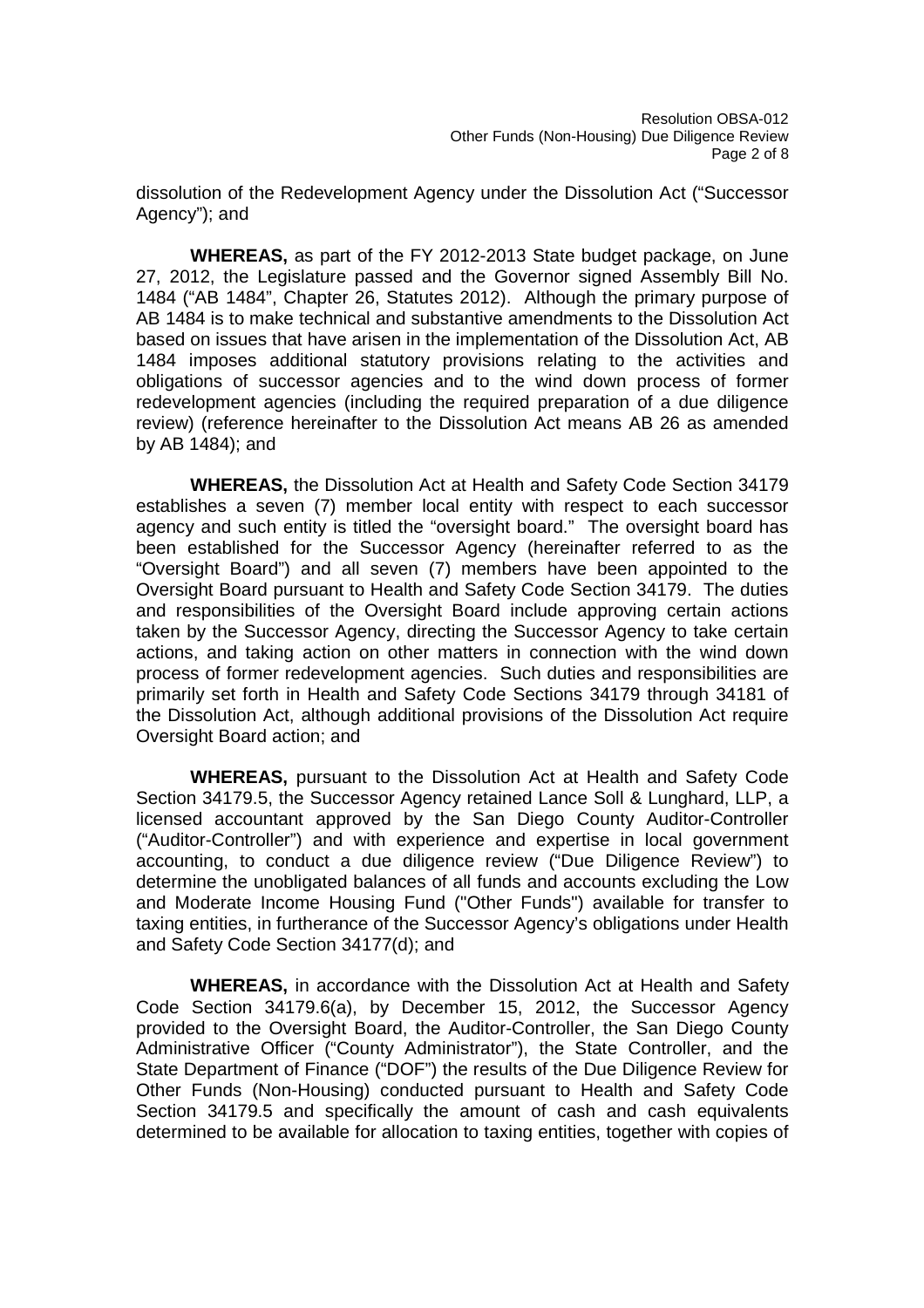dissolution of the Redevelopment Agency under the Dissolution Act ("Successor Agency"); and

**WHEREAS,** as part of the FY 2012-2013 State budget package, on June 27, 2012, the Legislature passed and the Governor signed Assembly Bill No. 1484 ("AB 1484", Chapter 26, Statutes 2012). Although the primary purpose of AB 1484 is to make technical and substantive amendments to the Dissolution Act based on issues that have arisen in the implementation of the Dissolution Act, AB 1484 imposes additional statutory provisions relating to the activities and obligations of successor agencies and to the wind down process of former redevelopment agencies (including the required preparation of a due diligence review) (reference hereinafter to the Dissolution Act means AB 26 as amended by AB 1484); and

**WHEREAS,** the Dissolution Act at Health and Safety Code Section 34179 establishes a seven (7) member local entity with respect to each successor agency and such entity is titled the "oversight board." The oversight board has been established for the Successor Agency (hereinafter referred to as the "Oversight Board") and all seven (7) members have been appointed to the Oversight Board pursuant to Health and Safety Code Section 34179. The duties and responsibilities of the Oversight Board include approving certain actions taken by the Successor Agency, directing the Successor Agency to take certain actions, and taking action on other matters in connection with the wind down process of former redevelopment agencies. Such duties and responsibilities are primarily set forth in Health and Safety Code Sections 34179 through 34181 of the Dissolution Act, although additional provisions of the Dissolution Act require Oversight Board action; and

**WHEREAS,** pursuant to the Dissolution Act at Health and Safety Code Section 34179.5, the Successor Agency retained Lance Soll & Lunghard, LLP, a licensed accountant approved by the San Diego County Auditor-Controller ("Auditor-Controller") and with experience and expertise in local government accounting, to conduct a due diligence review ("Due Diligence Review") to determine the unobligated balances of all funds and accounts excluding the Low and Moderate Income Housing Fund ("Other Funds") available for transfer to taxing entities, in furtherance of the Successor Agency's obligations under Health and Safety Code Section 34177(d); and

**WHEREAS,** in accordance with the Dissolution Act at Health and Safety Code Section 34179.6(a), by December 15, 2012, the Successor Agency provided to the Oversight Board, the Auditor-Controller, the San Diego County Administrative Officer ("County Administrator"), the State Controller, and the State Department of Finance ("DOF") the results of the Due Diligence Review for Other Funds (Non-Housing) conducted pursuant to Health and Safety Code Section 34179.5 and specifically the amount of cash and cash equivalents determined to be available for allocation to taxing entities, together with copies of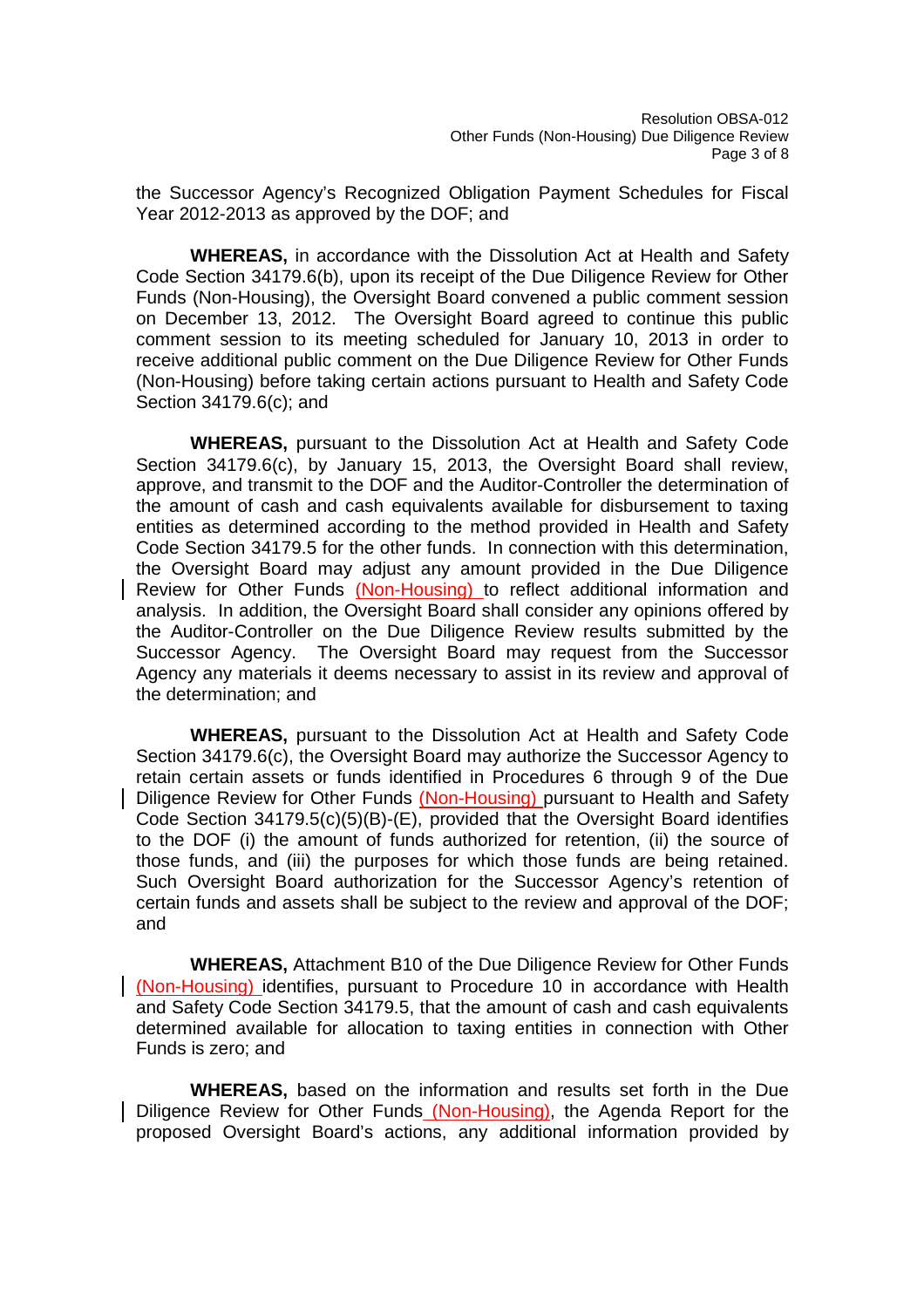the Successor Agency's Recognized Obligation Payment Schedules for Fiscal Year 2012-2013 as approved by the DOF; and

**WHEREAS,** in accordance with the Dissolution Act at Health and Safety Code Section 34179.6(b), upon its receipt of the Due Diligence Review for Other Funds (Non-Housing), the Oversight Board convened a public comment session on December 13, 2012. The Oversight Board agreed to continue this public comment session to its meeting scheduled for January 10, 2013 in order to receive additional public comment on the Due Diligence Review for Other Funds (Non-Housing) before taking certain actions pursuant to Health and Safety Code Section 34179.6(c); and

**WHEREAS,** pursuant to the Dissolution Act at Health and Safety Code Section 34179.6(c), by January 15, 2013, the Oversight Board shall review, approve, and transmit to the DOF and the Auditor-Controller the determination of the amount of cash and cash equivalents available for disbursement to taxing entities as determined according to the method provided in Health and Safety Code Section 34179.5 for the other funds. In connection with this determination, the Oversight Board may adjust any amount provided in the Due Diligence Review for Other Funds (Non-Housing) to reflect additional information and analysis. In addition, the Oversight Board shall consider any opinions offered by the Auditor-Controller on the Due Diligence Review results submitted by the Successor Agency. The Oversight Board may request from the Successor Agency any materials it deems necessary to assist in its review and approval of the determination; and

**WHEREAS,** pursuant to the Dissolution Act at Health and Safety Code Section 34179.6(c), the Oversight Board may authorize the Successor Agency to retain certain assets or funds identified in Procedures 6 through 9 of the Due Diligence Review for Other Funds (Non-Housing) pursuant to Health and Safety Code Section 34179.5(c)(5)(B)-(E), provided that the Oversight Board identifies to the DOF (i) the amount of funds authorized for retention, (ii) the source of those funds, and (iii) the purposes for which those funds are being retained. Such Oversight Board authorization for the Successor Agency's retention of certain funds and assets shall be subject to the review and approval of the DOF; and

**WHEREAS,** Attachment B10 of the Due Diligence Review for Other Funds (Non-Housing) identifies, pursuant to Procedure 10 in accordance with Health and Safety Code Section 34179.5, that the amount of cash and cash equivalents determined available for allocation to taxing entities in connection with Other Funds is zero; and

**WHEREAS,** based on the information and results set forth in the Due Diligence Review for Other Funds (Non-Housing), the Agenda Report for the proposed Oversight Board's actions, any additional information provided by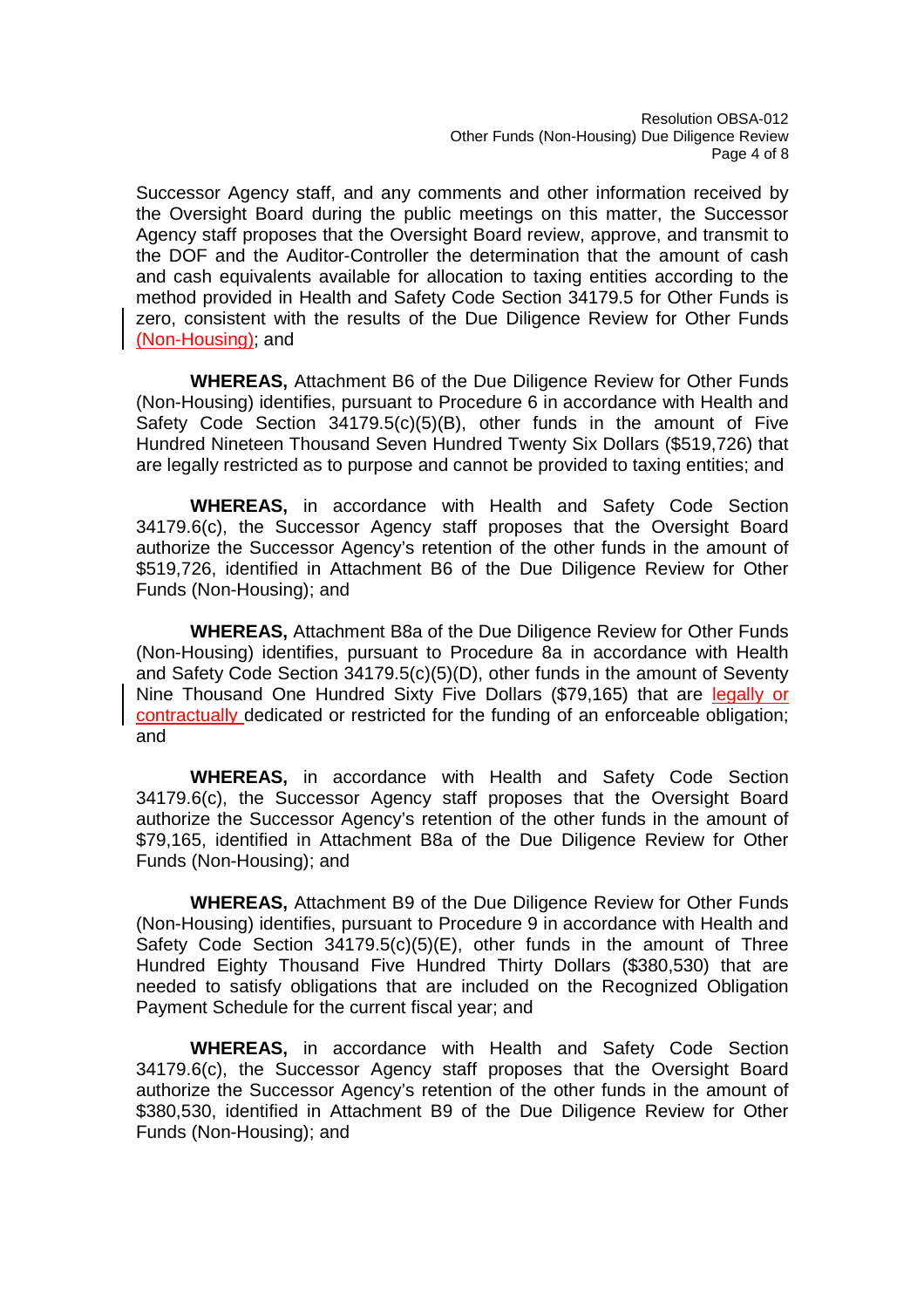Successor Agency staff, and any comments and other information received by the Oversight Board during the public meetings on this matter, the Successor Agency staff proposes that the Oversight Board review, approve, and transmit to the DOF and the Auditor-Controller the determination that the amount of cash and cash equivalents available for allocation to taxing entities according to the method provided in Health and Safety Code Section 34179.5 for Other Funds is zero, consistent with the results of the Due Diligence Review for Other Funds (Non-Housing); and

**WHEREAS,** Attachment B6 of the Due Diligence Review for Other Funds (Non-Housing) identifies, pursuant to Procedure 6 in accordance with Health and Safety Code Section 34179.5(c)(5)(B), other funds in the amount of Five Hundred Nineteen Thousand Seven Hundred Twenty Six Dollars (\$519,726) that are legally restricted as to purpose and cannot be provided to taxing entities; and

**WHEREAS,** in accordance with Health and Safety Code Section 34179.6(c), the Successor Agency staff proposes that the Oversight Board authorize the Successor Agency's retention of the other funds in the amount of \$519,726, identified in Attachment B6 of the Due Diligence Review for Other Funds (Non-Housing); and

**WHEREAS,** Attachment B8a of the Due Diligence Review for Other Funds (Non-Housing) identifies, pursuant to Procedure 8a in accordance with Health and Safety Code Section 34179.5(c)(5)(D), other funds in the amount of Seventy Nine Thousand One Hundred Sixty Five Dollars (\$79,165) that are legally or contractually dedicated or restricted for the funding of an enforceable obligation; and

**WHEREAS,** in accordance with Health and Safety Code Section 34179.6(c), the Successor Agency staff proposes that the Oversight Board authorize the Successor Agency's retention of the other funds in the amount of \$79,165, identified in Attachment B8a of the Due Diligence Review for Other Funds (Non-Housing); and

**WHEREAS,** Attachment B9 of the Due Diligence Review for Other Funds (Non-Housing) identifies, pursuant to Procedure 9 in accordance with Health and Safety Code Section 34179.5(c)(5)(E), other funds in the amount of Three Hundred Eighty Thousand Five Hundred Thirty Dollars (\$380,530) that are needed to satisfy obligations that are included on the Recognized Obligation Payment Schedule for the current fiscal year; and

**WHEREAS,** in accordance with Health and Safety Code Section 34179.6(c), the Successor Agency staff proposes that the Oversight Board authorize the Successor Agency's retention of the other funds in the amount of \$380,530, identified in Attachment B9 of the Due Diligence Review for Other Funds (Non-Housing); and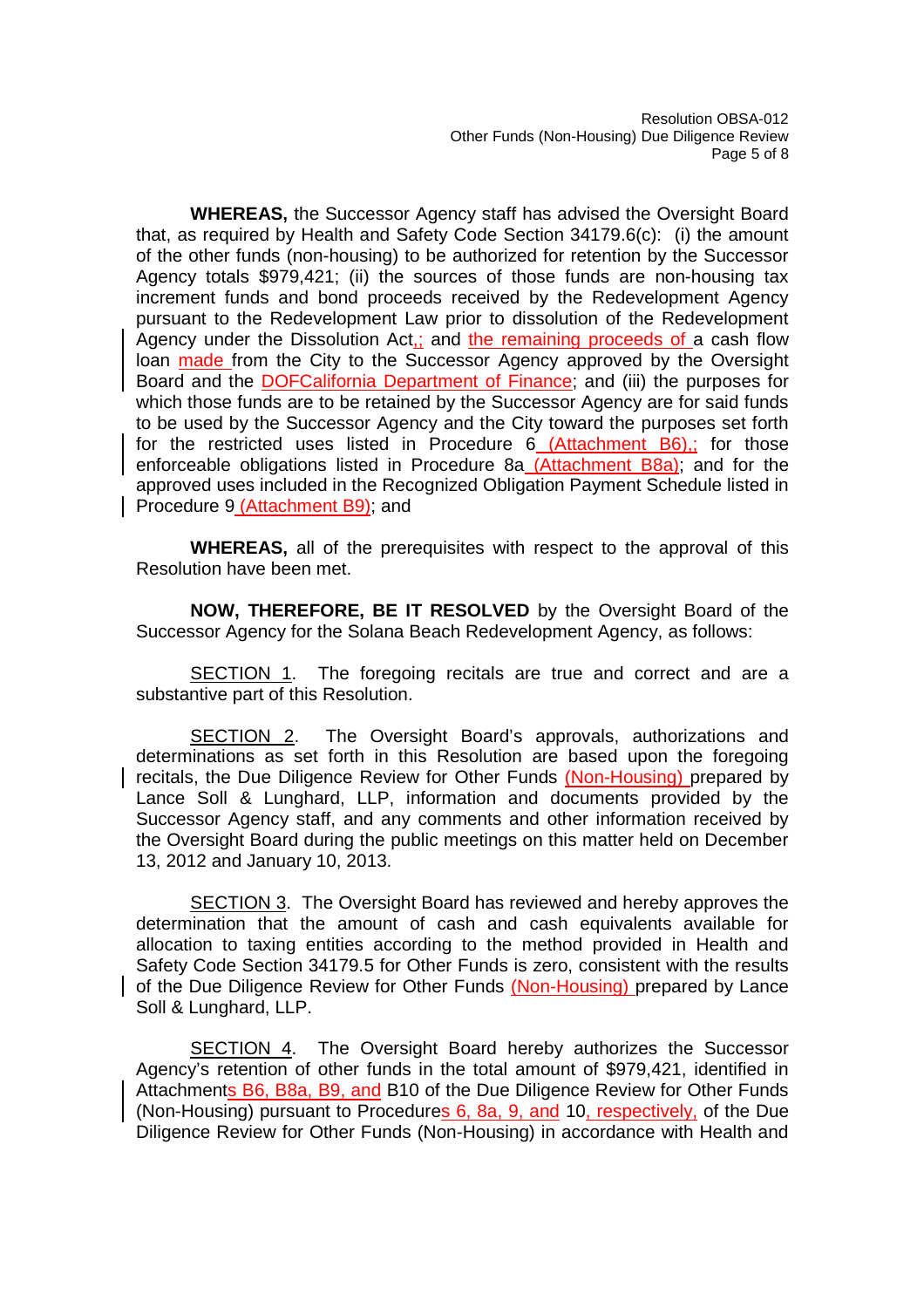**WHEREAS,** the Successor Agency staff has advised the Oversight Board that, as required by Health and Safety Code Section 34179.6(c): (i) the amount of the other funds (non-housing) to be authorized for retention by the Successor Agency totals \$979,421; (ii) the sources of those funds are non-housing tax increment funds and bond proceeds received by the Redevelopment Agency pursuant to the Redevelopment Law prior to dissolution of the Redevelopment Agency under the Dissolution Act,; and the remaining proceeds of a cash flow loan made from the City to the Successor Agency approved by the Oversight Board and the DOFCalifornia Department of Finance; and (iii) the purposes for which those funds are to be retained by the Successor Agency are for said funds to be used by the Successor Agency and the City toward the purposes set forth for the restricted uses listed in Procedure 6 (Attachment B6),; for those enforceable obligations listed in Procedure 8a (Attachment B8a); and for the approved uses included in the Recognized Obligation Payment Schedule listed in Procedure 9 (Attachment B9); and

**WHEREAS,** all of the prerequisites with respect to the approval of this Resolution have been met.

**NOW, THEREFORE, BE IT RESOLVED** by the Oversight Board of the Successor Agency for the Solana Beach Redevelopment Agency, as follows:

SECTION 1. The foregoing recitals are true and correct and are a substantive part of this Resolution.

SECTION 2. The Oversight Board's approvals, authorizations and determinations as set forth in this Resolution are based upon the foregoing recitals, the Due Diligence Review for Other Funds (Non-Housing) prepared by Lance Soll & Lunghard, LLP, information and documents provided by the Successor Agency staff, and any comments and other information received by the Oversight Board during the public meetings on this matter held on December 13, 2012 and January 10, 2013.

SECTION 3. The Oversight Board has reviewed and hereby approves the determination that the amount of cash and cash equivalents available for allocation to taxing entities according to the method provided in Health and Safety Code Section 34179.5 for Other Funds is zero, consistent with the results of the Due Diligence Review for Other Funds (Non-Housing) prepared by Lance Soll & Lunghard, LLP.

SECTION 4. The Oversight Board hereby authorizes the Successor Agency's retention of other funds in the total amount of \$979,421, identified in Attachments B6, B8a, B9, and B10 of the Due Diligence Review for Other Funds (Non-Housing) pursuant to Procedures 6, 8a, 9, and 10, respectively, of the Due Diligence Review for Other Funds (Non-Housing) in accordance with Health and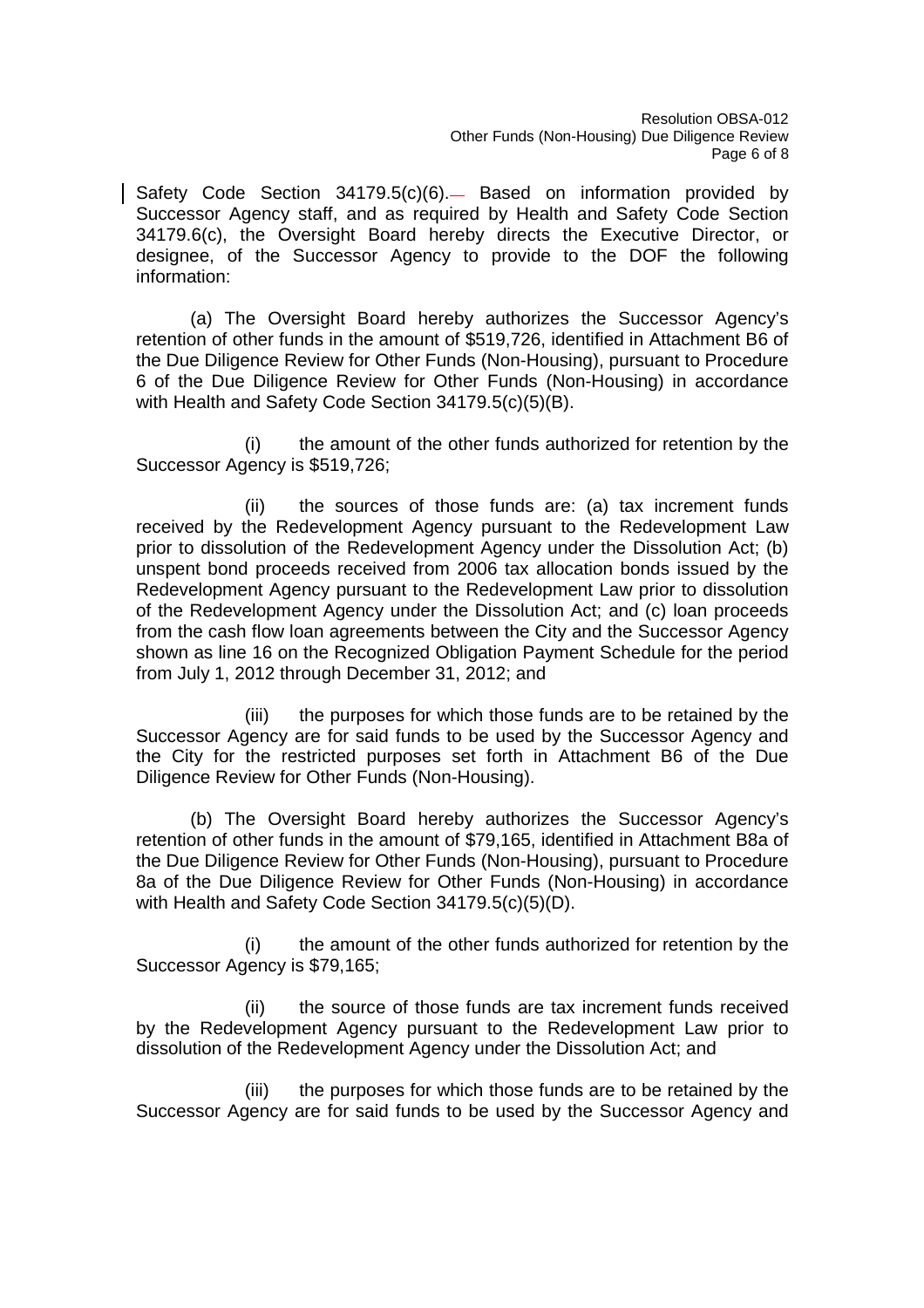Safety Code Section 34179.5(c)(6). Based on information provided by Successor Agency staff, and as required by Health and Safety Code Section 34179.6(c), the Oversight Board hereby directs the Executive Director, or designee, of the Successor Agency to provide to the DOF the following information:

(a) The Oversight Board hereby authorizes the Successor Agency's retention of other funds in the amount of \$519,726, identified in Attachment B6 of the Due Diligence Review for Other Funds (Non-Housing), pursuant to Procedure 6 of the Due Diligence Review for Other Funds (Non-Housing) in accordance with Health and Safety Code Section 34179.5(c)(5)(B).

(i) the amount of the other funds authorized for retention by the Successor Agency is \$519,726;

(ii) the sources of those funds are: (a) tax increment funds received by the Redevelopment Agency pursuant to the Redevelopment Law prior to dissolution of the Redevelopment Agency under the Dissolution Act; (b) unspent bond proceeds received from 2006 tax allocation bonds issued by the Redevelopment Agency pursuant to the Redevelopment Law prior to dissolution of the Redevelopment Agency under the Dissolution Act; and (c) loan proceeds from the cash flow loan agreements between the City and the Successor Agency shown as line 16 on the Recognized Obligation Payment Schedule for the period from July 1, 2012 through December 31, 2012; and

(iii) the purposes for which those funds are to be retained by the Successor Agency are for said funds to be used by the Successor Agency and the City for the restricted purposes set forth in Attachment B6 of the Due Diligence Review for Other Funds (Non-Housing).

(b) The Oversight Board hereby authorizes the Successor Agency's retention of other funds in the amount of \$79,165, identified in Attachment B8a of the Due Diligence Review for Other Funds (Non-Housing), pursuant to Procedure 8a of the Due Diligence Review for Other Funds (Non-Housing) in accordance with Health and Safety Code Section 34179.5(c)(5)(D).

(i) the amount of the other funds authorized for retention by the Successor Agency is \$79,165;

(ii) the source of those funds are tax increment funds received by the Redevelopment Agency pursuant to the Redevelopment Law prior to dissolution of the Redevelopment Agency under the Dissolution Act; and

(iii) the purposes for which those funds are to be retained by the Successor Agency are for said funds to be used by the Successor Agency and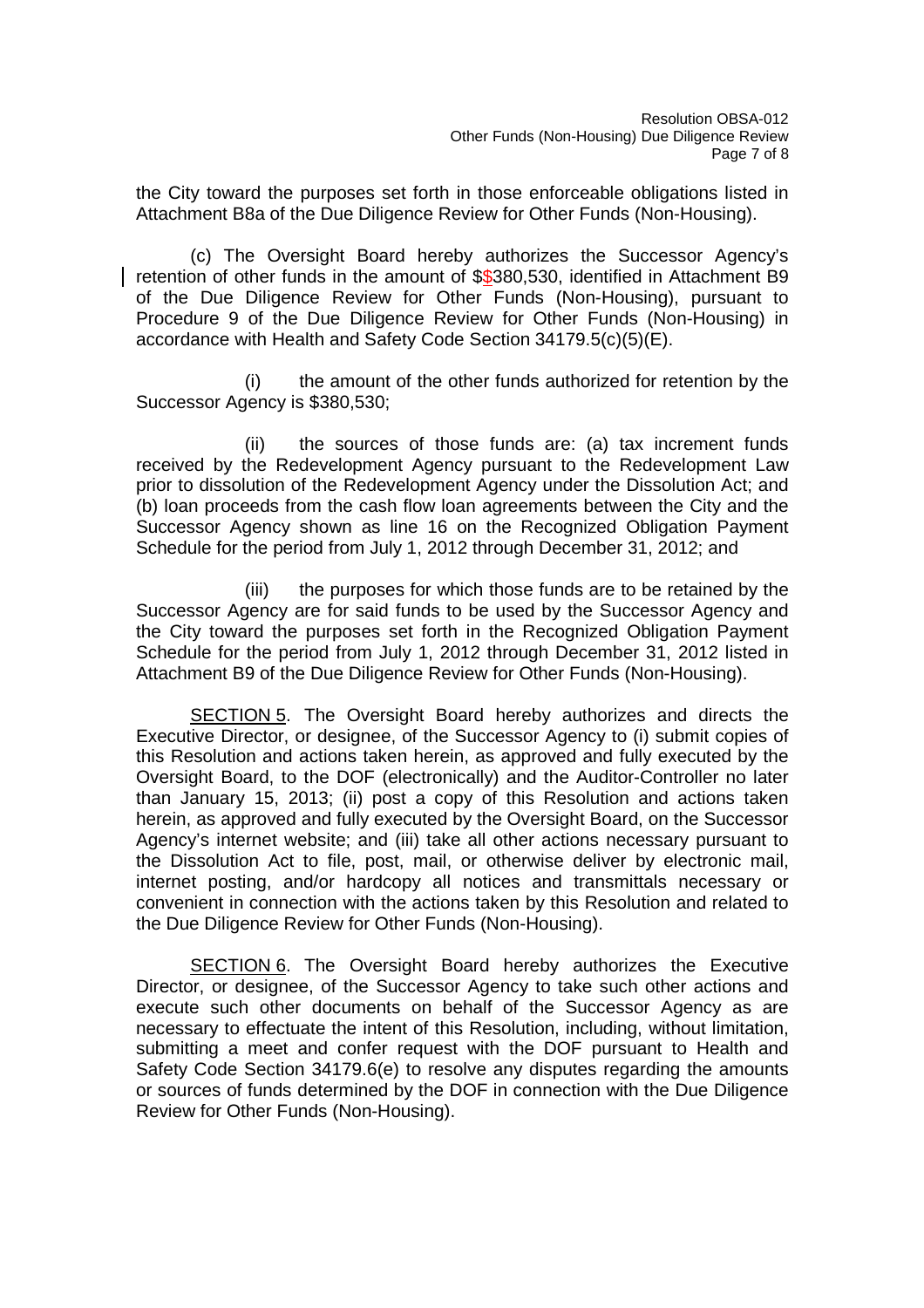the City toward the purposes set forth in those enforceable obligations listed in Attachment B8a of the Due Diligence Review for Other Funds (Non-Housing).

(c) The Oversight Board hereby authorizes the Successor Agency's retention of other funds in the amount of \$\$380,530, identified in Attachment B9 of the Due Diligence Review for Other Funds (Non-Housing), pursuant to Procedure 9 of the Due Diligence Review for Other Funds (Non-Housing) in accordance with Health and Safety Code Section 34179.5(c)(5)(E).

(i) the amount of the other funds authorized for retention by the Successor Agency is \$380,530;

(ii) the sources of those funds are: (a) tax increment funds received by the Redevelopment Agency pursuant to the Redevelopment Law prior to dissolution of the Redevelopment Agency under the Dissolution Act; and (b) loan proceeds from the cash flow loan agreements between the City and the Successor Agency shown as line 16 on the Recognized Obligation Payment Schedule for the period from July 1, 2012 through December 31, 2012; and

(iii) the purposes for which those funds are to be retained by the Successor Agency are for said funds to be used by the Successor Agency and the City toward the purposes set forth in the Recognized Obligation Payment Schedule for the period from July 1, 2012 through December 31, 2012 listed in Attachment B9 of the Due Diligence Review for Other Funds (Non-Housing).

SECTION 5. The Oversight Board hereby authorizes and directs the Executive Director, or designee, of the Successor Agency to (i) submit copies of this Resolution and actions taken herein, as approved and fully executed by the Oversight Board, to the DOF (electronically) and the Auditor-Controller no later than January 15, 2013; (ii) post a copy of this Resolution and actions taken herein, as approved and fully executed by the Oversight Board, on the Successor Agency's internet website; and (iii) take all other actions necessary pursuant to the Dissolution Act to file, post, mail, or otherwise deliver by electronic mail, internet posting, and/or hardcopy all notices and transmittals necessary or convenient in connection with the actions taken by this Resolution and related to the Due Diligence Review for Other Funds (Non-Housing).

SECTION 6. The Oversight Board hereby authorizes the Executive Director, or designee, of the Successor Agency to take such other actions and execute such other documents on behalf of the Successor Agency as are necessary to effectuate the intent of this Resolution, including, without limitation, submitting a meet and confer request with the DOF pursuant to Health and Safety Code Section 34179.6(e) to resolve any disputes regarding the amounts or sources of funds determined by the DOF in connection with the Due Diligence Review for Other Funds (Non-Housing).